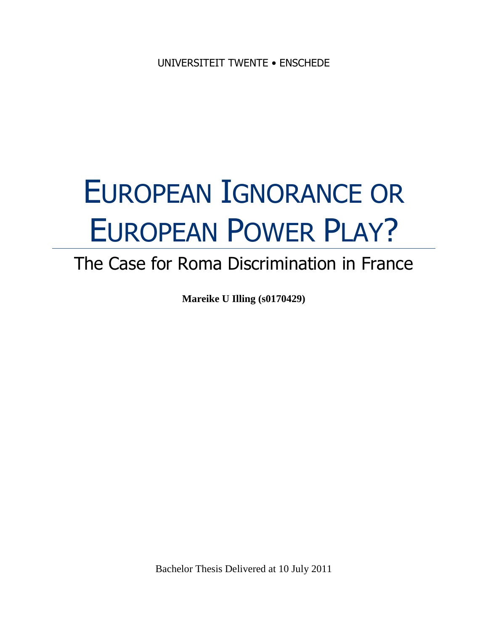# EUROPEAN IGNORANCE OR EUROPEAN POWER PLAY?

## The Case for Roma Discrimination in France

**Mareike U Illing (s0170429)**

Bachelor Thesis Delivered at 10 July 2011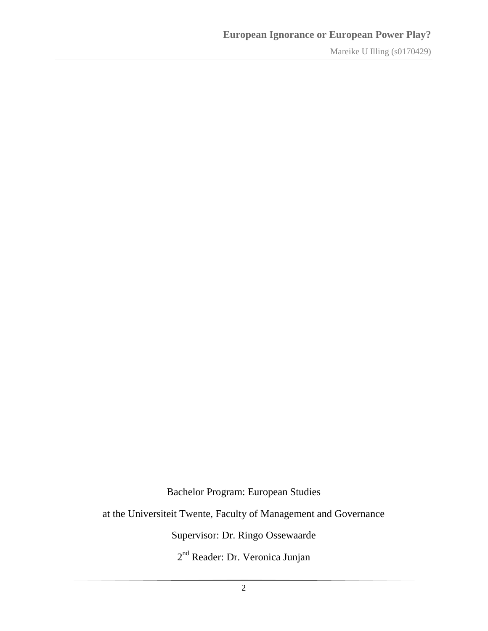Bachelor Program: European Studies

at the Universiteit Twente, Faculty of Management and Governance

Supervisor: Dr. Ringo Ossewaarde

2<sup>nd</sup> Reader: Dr. Veronica Junjan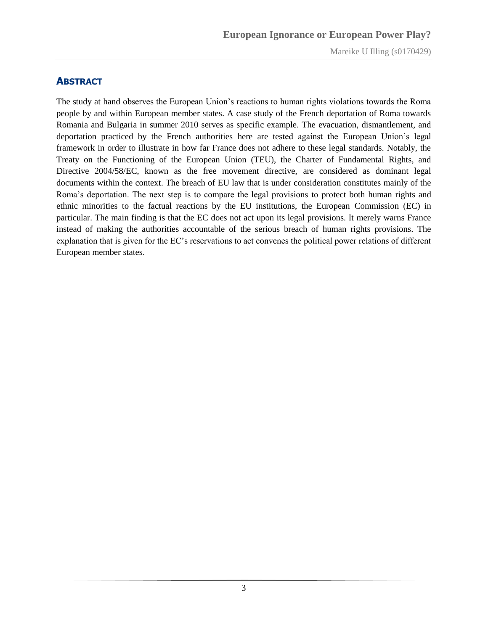#### <span id="page-2-0"></span>**ABSTRACT**

The study at hand observes the European Union"s reactions to human rights violations towards the Roma people by and within European member states. A case study of the French deportation of Roma towards Romania and Bulgaria in summer 2010 serves as specific example. The evacuation, dismantlement, and deportation practiced by the French authorities here are tested against the European Union"s legal framework in order to illustrate in how far France does not adhere to these legal standards. Notably, the Treaty on the Functioning of the European Union (TEU), the Charter of Fundamental Rights, and Directive 2004/58/EC, known as the free movement directive, are considered as dominant legal documents within the context. The breach of EU law that is under consideration constitutes mainly of the Roma"s deportation. The next step is to compare the legal provisions to protect both human rights and ethnic minorities to the factual reactions by the EU institutions, the European Commission (EC) in particular. The main finding is that the EC does not act upon its legal provisions. It merely warns France instead of making the authorities accountable of the serious breach of human rights provisions. The explanation that is given for the EC"s reservations to act convenes the political power relations of different European member states.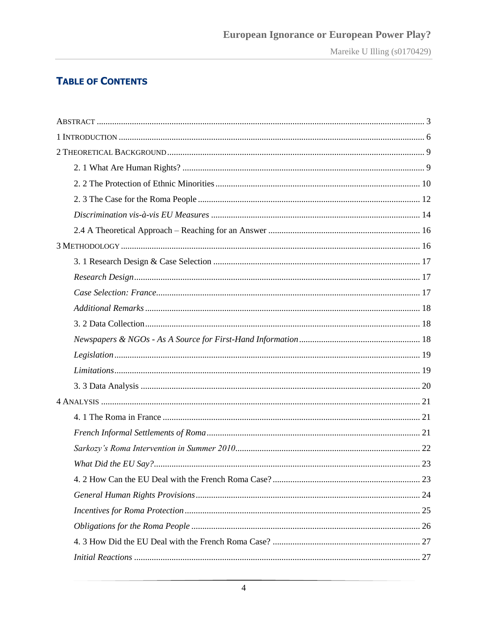## **TABLE OF CONTENTS**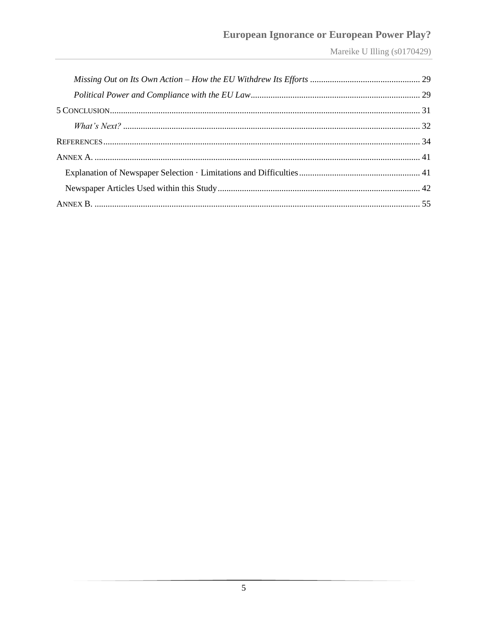## **European Ignorance or European Power Play?**

Mareike U Illing (s0170429)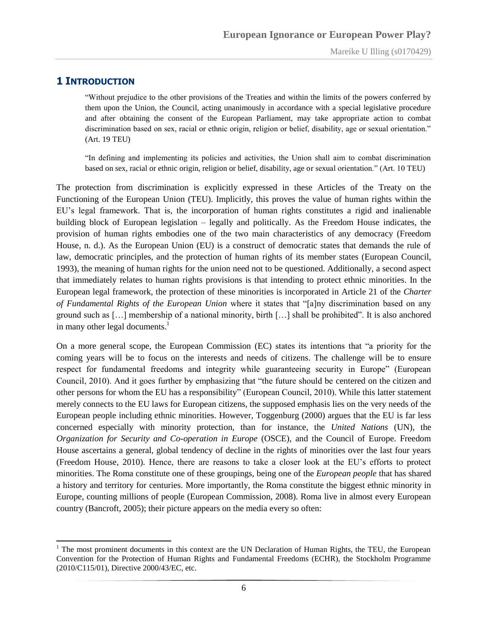#### <span id="page-5-0"></span>**1 INTRODUCTION**

 $\overline{a}$ 

"Without prejudice to the other provisions of the Treaties and within the limits of the powers conferred by them upon the Union, the Council, acting unanimously in accordance with a special legislative procedure and after obtaining the consent of the European Parliament, may take appropriate action to combat discrimination based on sex, racial or ethnic origin, religion or belief, disability, age or sexual orientation." (Art. 19 TEU)

"In defining and implementing its policies and activities, the Union shall aim to combat discrimination based on sex, racial or ethnic origin, religion or belief, disability, age or sexual orientation." (Art. 10 TEU)

The protection from discrimination is explicitly expressed in these Articles of the Treaty on the Functioning of the European Union (TEU). Implicitly, this proves the value of human rights within the EU"s legal framework. That is, the incorporation of human rights constitutes a rigid and inalienable building block of European legislation – legally and politically. As the Freedom House indicates, the provision of human rights embodies one of the two main characteristics of any democracy (Freedom House, n. d.). As the European Union (EU) is a construct of democratic states that demands the rule of law, democratic principles, and the protection of human rights of its member states (European Council, 1993), the meaning of human rights for the union need not to be questioned. Additionally, a second aspect that immediately relates to human rights provisions is that intending to protect ethnic minorities. In the European legal framework, the protection of these minorities is incorporated in Article 21 of the *Charter of Fundamental Rights of the European Union* where it states that "[a]ny discrimination based on any ground such as […] membership of a national minority, birth […] shall be prohibited". It is also anchored in many other legal documents.<sup>1</sup>

On a more general scope, the European Commission (EC) states its intentions that "a priority for the coming years will be to focus on the interests and needs of citizens. The challenge will be to ensure respect for fundamental freedoms and integrity while guaranteeing security in Europe" (European Council, 2010). And it goes further by emphasizing that "the future should be centered on the citizen and other persons for whom the EU has a responsibility" (European Council, 2010). While this latter statement merely connects to the EU laws for European citizens, the supposed emphasis lies on the very needs of the European people including ethnic minorities. However, Toggenburg (2000) argues that the EU is far less concerned especially with minority protection, than for instance, the *United Nations* (UN), the *Organization for Security and Co-operation in Europe* (OSCE), and the Council of Europe. Freedom House ascertains a general, global tendency of decline in the rights of minorities over the last four years (Freedom House, 2010). Hence, there are reasons to take a closer look at the EU"s efforts to protect minorities. The Roma constitute one of these groupings, being one of the *European people* that has shared a history and territory for centuries. More importantly, the Roma constitute the biggest ethnic minority in Europe, counting millions of people (European Commission, 2008). Roma live in almost every European country (Bancroft, 2005); their picture appears on the media every so often:

 $1$  The most prominent documents in this context are the UN Declaration of Human Rights, the TEU, the European Convention for the Protection of Human Rights and Fundamental Freedoms (ECHR), the Stockholm Programme (2010/C115/01), Directive 2000/43/EC, etc.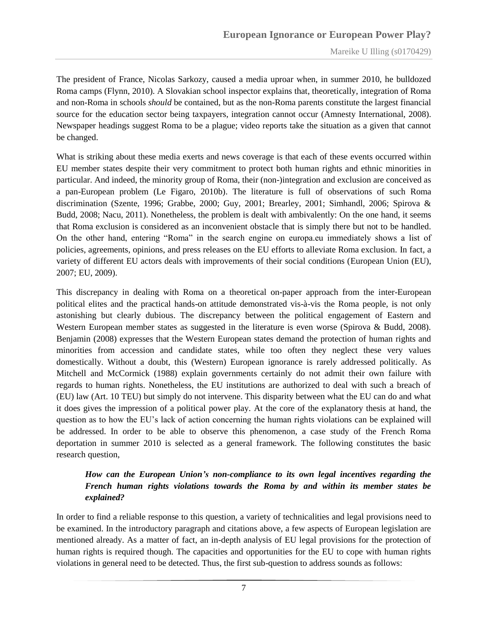The president of France, Nicolas Sarkozy, caused a media uproar when, in summer 2010, he bulldozed Roma camps (Flynn, 2010). A Slovakian school inspector explains that, theoretically, integration of Roma and non-Roma in schools *should* be contained, but as the non-Roma parents constitute the largest financial source for the education sector being taxpayers, integration cannot occur (Amnesty International, 2008). Newspaper headings suggest Roma to be a plague; video reports take the situation as a given that cannot be changed.

What is striking about these media exerts and news coverage is that each of these events occurred within EU member states despite their very commitment to protect both human rights and ethnic minorities in particular. And indeed, the minority group of Roma, their (non-)integration and exclusion are conceived as a pan-European problem (Le Figaro, 2010b). The literature is full of observations of such Roma discrimination (Szente, 1996; Grabbe, 2000; Guy, 2001; Brearley, 2001; Simhandl, 2006; Spirova & Budd, 2008; Nacu, 2011). Nonetheless, the problem is dealt with ambivalently: On the one hand, it seems that Roma exclusion is considered as an inconvenient obstacle that is simply there but not to be handled. On the other hand, entering "Roma" in the search engine on europa.eu immediately shows a list of policies, agreements, opinions, and press releases on the EU efforts to alleviate Roma exclusion. In fact, a variety of different EU actors deals with improvements of their social conditions (European Union (EU), 2007; EU, 2009).

This discrepancy in dealing with Roma on a theoretical on-paper approach from the inter-European political elites and the practical hands-on attitude demonstrated vis-à-vis the Roma people, is not only astonishing but clearly dubious. The discrepancy between the political engagement of Eastern and Western European member states as suggested in the literature is even worse (Spirova & Budd, 2008). Benjamin (2008) expresses that the Western European states demand the protection of human rights and minorities from accession and candidate states, while too often they neglect these very values domestically. Without a doubt, this (Western) European ignorance is rarely addressed politically. As Mitchell and McCormick (1988) explain governments certainly do not admit their own failure with regards to human rights. Nonetheless, the EU institutions are authorized to deal with such a breach of (EU) law (Art. 10 TEU) but simply do not intervene. This disparity between what the EU can do and what it does gives the impression of a political power play. At the core of the explanatory thesis at hand, the question as to how the EU"s lack of action concerning the human rights violations can be explained will be addressed. In order to be able to observe this phenomenon, a case study of the French Roma deportation in summer 2010 is selected as a general framework. The following constitutes the basic research question,

#### *How can the European Union's non-compliance to its own legal incentives regarding the French human rights violations towards the Roma by and within its member states be explained?*

In order to find a reliable response to this question, a variety of technicalities and legal provisions need to be examined. In the introductory paragraph and citations above, a few aspects of European legislation are mentioned already. As a matter of fact, an in-depth analysis of EU legal provisions for the protection of human rights is required though. The capacities and opportunities for the EU to cope with human rights violations in general need to be detected. Thus, the first sub-question to address sounds as follows: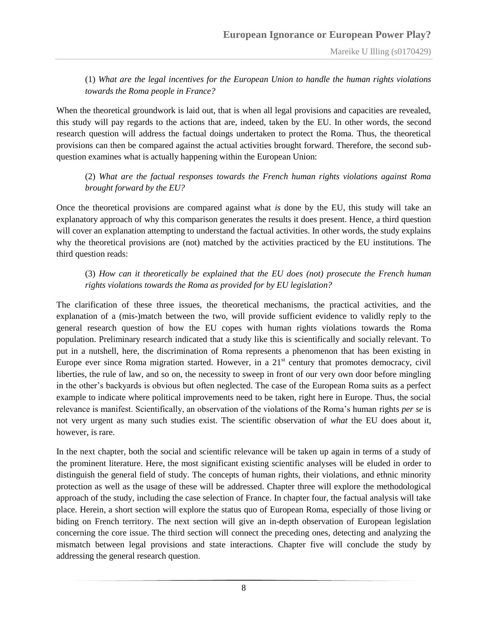(1) *What are the legal incentives for the European Union to handle the human rights violations towards the Roma people in France?*

When the theoretical groundwork is laid out, that is when all legal provisions and capacities are revealed, this study will pay regards to the actions that are, indeed, taken by the EU. In other words, the second research question will address the factual doings undertaken to protect the Roma. Thus, the theoretical provisions can then be compared against the actual activities brought forward. Therefore, the second subquestion examines what is actually happening within the European Union:

(2) *What are the factual responses towards the French human rights violations against Roma brought forward by the EU?*

Once the theoretical provisions are compared against what *is* done by the EU, this study will take an explanatory approach of why this comparison generates the results it does present. Hence, a third question will cover an explanation attempting to understand the factual activities. In other words, the study explains why the theoretical provisions are (not) matched by the activities practiced by the EU institutions. The third question reads:

#### (3) *How can it theoretically be explained that the EU does (not) prosecute the French human rights violations towards the Roma as provided for by EU legislation?*

The clarification of these three issues, the theoretical mechanisms, the practical activities, and the explanation of a (mis-)match between the two, will provide sufficient evidence to validly reply to the general research question of how the EU copes with human rights violations towards the Roma population. Preliminary research indicated that a study like this is scientifically and socially relevant. To put in a nutshell, here, the discrimination of Roma represents a phenomenon that has been existing in Europe ever since Roma migration started. However, in a  $21<sup>st</sup>$  century that promotes democracy, civil liberties, the rule of law, and so on, the necessity to sweep in front of our very own door before mingling in the other"s backyards is obvious but often neglected. The case of the European Roma suits as a perfect example to indicate where political improvements need to be taken, right here in Europe. Thus, the social relevance is manifest. Scientifically, an observation of the violations of the Roma"s human rights *per se* is not very urgent as many such studies exist. The scientific observation of *what* the EU does about it, however, is rare.

In the next chapter, both the social and scientific relevance will be taken up again in terms of a study of the prominent literature. Here, the most significant existing scientific analyses will be eluded in order to distinguish the general field of study. The concepts of human rights, their violations, and ethnic minority protection as well as the usage of these will be addressed. Chapter three will explore the methodological approach of the study, including the case selection of France. In chapter four, the factual analysis will take place. Herein, a short section will explore the status quo of European Roma, especially of those living or biding on French territory. The next section will give an in-depth observation of European legislation concerning the core issue. The third section will connect the preceding ones, detecting and analyzing the mismatch between legal provisions and state interactions. Chapter five will conclude the study by addressing the general research question.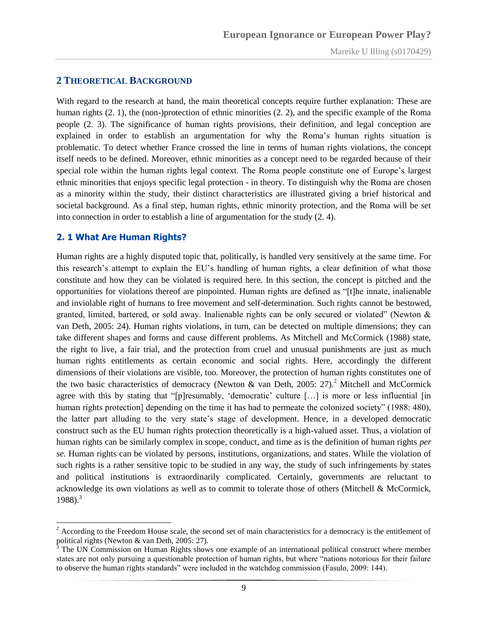#### <span id="page-8-0"></span>**2 THEORETICAL BACKGROUND**

With regard to the research at hand, the main theoretical concepts require further explanation: These are human rights (2. 1), the (non-)protection of ethnic minorities (2. 2), and the specific example of the Roma people (2. 3). The significance of human rights provisions, their definition, and legal conception are explained in order to establish an argumentation for why the Roma"s human rights situation is problematic. To detect whether France crossed the line in terms of human rights violations, the concept itself needs to be defined. Moreover, ethnic minorities as a concept need to be regarded because of their special role within the human rights legal context. The Roma people constitute one of Europe's largest ethnic minorities that enjoys specific legal protection - in theory. To distinguish why the Roma are chosen as a minority within the study, their distinct characteristics are illustrated giving a brief historical and societal background. As a final step, human rights, ethnic minority protection, and the Roma will be set into connection in order to establish a line of argumentation for the study (2. 4).

#### <span id="page-8-1"></span>**2. 1 What Are Human Rights?**

Human rights are a highly disputed topic that, politically, is handled very sensitively at the same time. For this research"s attempt to explain the EU"s handling of human rights, a clear definition of what those constitute and how they can be violated is required here. In this section, the concept is pitched and the opportunities for violations thereof are pinpointed. Human rights are defined as "[t]he innate, inalienable and inviolable right of humans to free movement and self-determination. Such rights cannot be bestowed, granted, limited, bartered, or sold away. Inalienable rights can be only secured or violated" (Newton & van Deth, 2005: 24). Human rights violations, in turn, can be detected on multiple dimensions; they can take different shapes and forms and cause different problems. As Mitchell and McCormick (1988) state, the right to live, a fair trial, and the protection from cruel and unusual punishments are just as much human rights entitlements as certain economic and social rights. Here, accordingly the different dimensions of their violations are visible, too. Moreover, the protection of human rights constitutes one of the two basic characteristics of democracy (Newton & van Deth, 2005: 27).<sup>2</sup> Mitchell and McCormick agree with this by stating that "[p]resumably, 'democratic' culture [...] is more or less influential [in] human rights protection] depending on the time it has had to permeate the colonized society" (1988: 480), the latter part alluding to the very state"s stage of development. Hence, in a developed democratic construct such as the EU human rights protection theoretically is a high-valued asset. Thus, a violation of human rights can be similarly complex in scope, conduct, and time as is the definition of human rights *per se.* Human rights can be violated by persons, institutions, organizations, and states. While the violation of such rights is a rather sensitive topic to be studied in any way, the study of such infringements by states and political institutions is extraordinarily complicated. Certainly, governments are reluctant to acknowledge its own violations as well as to commit to tolerate those of others (Mitchell & McCormick,  $1988$ ).<sup>3</sup>

 $2$  According to the Freedom House scale, the second set of main characteristics for a democracy is the entitlement of political rights (Newton & van Deth, 2005: 27).

<sup>3</sup> The UN Commission on Human Rights shows one example of an international political construct where member states are not only pursuing a questionable protection of human rights, but where "nations notorious for their failure to observe the human rights standards" were included in the watchdog commission (Fasulo, 2009: 144).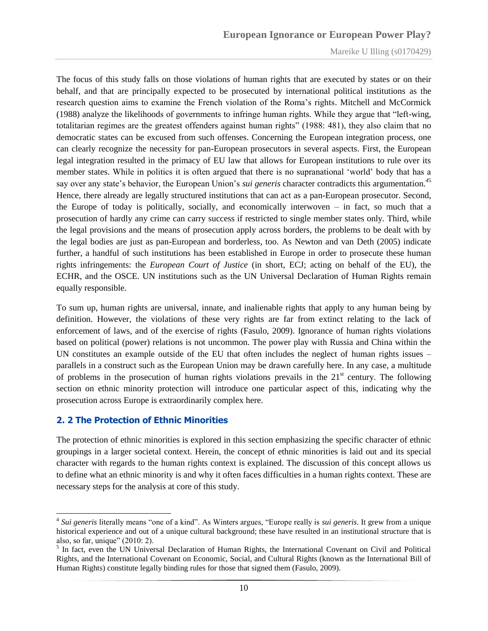The focus of this study falls on those violations of human rights that are executed by states or on their behalf, and that are principally expected to be prosecuted by international political institutions as the research question aims to examine the French violation of the Roma"s rights. Mitchell and McCormick (1988) analyze the likelihoods of governments to infringe human rights. While they argue that "left-wing, totalitarian regimes are the greatest offenders against human rights" (1988: 481), they also claim that no democratic states can be excused from such offenses. Concerning the European integration process, one can clearly recognize the necessity for pan-European prosecutors in several aspects. First, the European legal integration resulted in the primacy of EU law that allows for European institutions to rule over its member states. While in politics it is often argued that there is no supranational "world" body that has a say over any state's behavior, the European Union's *sui generis* character contradicts this argumentation.<sup>45</sup> Hence, there already are legally structured institutions that can act as a pan-European prosecutor. Second, the Europe of today is politically, socially, and economically interwoven – in fact, so much that a prosecution of hardly any crime can carry success if restricted to single member states only. Third, while the legal provisions and the means of prosecution apply across borders, the problems to be dealt with by the legal bodies are just as pan-European and borderless, too. As Newton and van Deth (2005) indicate further, a handful of such institutions has been established in Europe in order to prosecute these human rights infringements: the *European Court of Justice* (in short, ECJ; acting on behalf of the EU), the ECHR, and the OSCE. UN institutions such as the UN Universal Declaration of Human Rights remain equally responsible.

To sum up, human rights are universal, innate, and inalienable rights that apply to any human being by definition. However, the violations of these very rights are far from extinct relating to the lack of enforcement of laws, and of the exercise of rights (Fasulo, 2009). Ignorance of human rights violations based on political (power) relations is not uncommon. The power play with Russia and China within the UN constitutes an example outside of the EU that often includes the neglect of human rights issues – parallels in a construct such as the European Union may be drawn carefully here. In any case, a multitude of problems in the prosecution of human rights violations prevails in the  $21<sup>st</sup>$  century. The following section on ethnic minority protection will introduce one particular aspect of this, indicating why the prosecution across Europe is extraordinarily complex here.

#### <span id="page-9-0"></span>**2. 2 The Protection of Ethnic Minorities**

 $\overline{a}$ 

The protection of ethnic minorities is explored in this section emphasizing the specific character of ethnic groupings in a larger societal context. Herein, the concept of ethnic minorities is laid out and its special character with regards to the human rights context is explained. The discussion of this concept allows us to define what an ethnic minority is and why it often faces difficulties in a human rights context. These are necessary steps for the analysis at core of this study.

<sup>4</sup> *Sui generis* literally means "one of a kind". As Winters argues, "Europe really is *sui generis*. It grew from a unique historical experience and out of a unique cultural background; these have resulted in an institutional structure that is also, so far, unique" (2010: 2).

<sup>&</sup>lt;sup>5</sup> In fact, even the UN Universal Declaration of Human Rights, the International Covenant on Civil and Political Rights, and the International Covenant on Economic, Social, and Cultural Rights (known as the International Bill of Human Rights) constitute legally binding rules for those that signed them (Fasulo, 2009).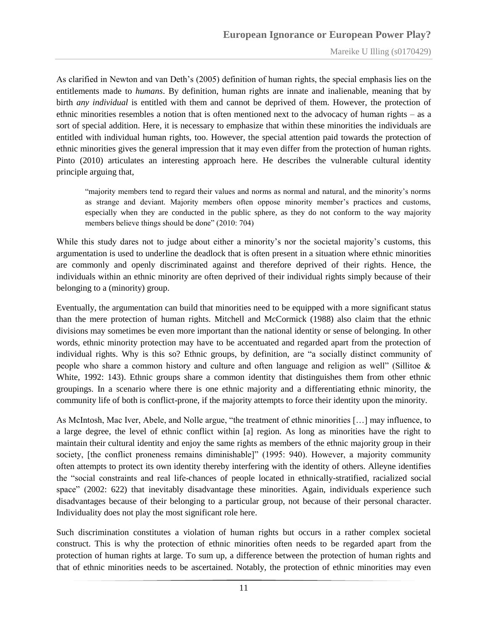As clarified in Newton and van Deth"s (2005) definition of human rights, the special emphasis lies on the entitlements made to *humans*. By definition, human rights are innate and inalienable, meaning that by birth *any individual* is entitled with them and cannot be deprived of them. However, the protection of ethnic minorities resembles a notion that is often mentioned next to the advocacy of human rights – as a sort of special addition. Here, it is necessary to emphasize that within these minorities the individuals are entitled with individual human rights, too. However, the special attention paid towards the protection of ethnic minorities gives the general impression that it may even differ from the protection of human rights. Pinto (2010) articulates an interesting approach here. He describes the vulnerable cultural identity principle arguing that,

"majority members tend to regard their values and norms as normal and natural, and the minority"s norms as strange and deviant. Majority members often oppose minority member"s practices and customs, especially when they are conducted in the public sphere, as they do not conform to the way majority members believe things should be done" (2010: 704)

While this study dares not to judge about either a minority's nor the societal majority's customs, this argumentation is used to underline the deadlock that is often present in a situation where ethnic minorities are commonly and openly discriminated against and therefore deprived of their rights. Hence, the individuals within an ethnic minority are often deprived of their individual rights simply because of their belonging to a (minority) group.

Eventually, the argumentation can build that minorities need to be equipped with a more significant status than the mere protection of human rights. Mitchell and McCormick (1988) also claim that the ethnic divisions may sometimes be even more important than the national identity or sense of belonging. In other words, ethnic minority protection may have to be accentuated and regarded apart from the protection of individual rights. Why is this so? Ethnic groups, by definition, are "a socially distinct community of people who share a common history and culture and often language and religion as well" (Sillitoe & White, 1992: 143). Ethnic groups share a common identity that distinguishes them from other ethnic groupings. In a scenario where there is one ethnic majority and a differentiating ethnic minority, the community life of both is conflict-prone, if the majority attempts to force their identity upon the minority.

As McIntosh, Mac Iver, Abele, and Nolle argue, "the treatment of ethnic minorities […] may influence, to a large degree, the level of ethnic conflict within [a] region. As long as minorities have the right to maintain their cultural identity and enjoy the same rights as members of the ethnic majority group in their society, [the conflict proneness remains diminishable]" (1995: 940). However, a majority community often attempts to protect its own identity thereby interfering with the identity of others. Alleyne identifies the "social constraints and real life-chances of people located in ethnically-stratified, racialized social space" (2002: 622) that inevitably disadvantage these minorities. Again, individuals experience such disadvantages because of their belonging to a particular group, not because of their personal character. Individuality does not play the most significant role here.

Such discrimination constitutes a violation of human rights but occurs in a rather complex societal construct. This is why the protection of ethnic minorities often needs to be regarded apart from the protection of human rights at large. To sum up, a difference between the protection of human rights and that of ethnic minorities needs to be ascertained. Notably, the protection of ethnic minorities may even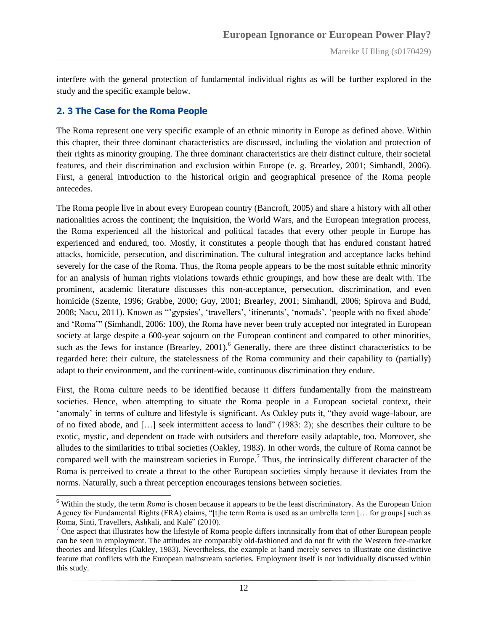interfere with the general protection of fundamental individual rights as will be further explored in the study and the specific example below.

#### <span id="page-11-0"></span>**2. 3 The Case for the Roma People**

 $\overline{a}$ 

The Roma represent one very specific example of an ethnic minority in Europe as defined above. Within this chapter, their three dominant characteristics are discussed, including the violation and protection of their rights as minority grouping. The three dominant characteristics are their distinct culture, their societal features, and their discrimination and exclusion within Europe (e. g. Brearley, 2001; Simhandl, 2006). First, a general introduction to the historical origin and geographical presence of the Roma people antecedes.

The Roma people live in about every European country (Bancroft, 2005) and share a history with all other nationalities across the continent; the Inquisition, the World Wars, and the European integration process, the Roma experienced all the historical and political facades that every other people in Europe has experienced and endured, too. Mostly, it constitutes a people though that has endured constant hatred attacks, homicide, persecution, and discrimination. The cultural integration and acceptance lacks behind severely for the case of the Roma. Thus, the Roma people appears to be the most suitable ethnic minority for an analysis of human rights violations towards ethnic groupings, and how these are dealt with. The prominent, academic literature discusses this non-acceptance, persecution, discrimination, and even homicide (Szente, 1996; Grabbe, 2000; Guy, 2001; Brearley, 2001; Simhandl, 2006; Spirova and Budd, 2008; Nacu, 2011). Known as ""gypsies", "travellers", "itinerants", "nomads", "people with no fixed abode" and "Roma"" (Simhandl, 2006: 100), the Roma have never been truly accepted nor integrated in European society at large despite a 600-year sojourn on the European continent and compared to other minorities, such as the Jews for instance (Brearley, 2001).<sup>6</sup> Generally, there are three distinct characteristics to be regarded here: their culture, the statelessness of the Roma community and their capability to (partially) adapt to their environment, and the continent-wide, continuous discrimination they endure.

First, the Roma culture needs to be identified because it differs fundamentally from the mainstream societies. Hence, when attempting to situate the Roma people in a European societal context, their "anomaly" in terms of culture and lifestyle is significant. As Oakley puts it, "they avoid wage-labour, are of no fixed abode, and […] seek intermittent access to land" (1983: 2); she describes their culture to be exotic, mystic, and dependent on trade with outsiders and therefore easily adaptable, too. Moreover, she alludes to the similarities to tribal societies (Oakley, 1983). In other words, the culture of Roma cannot be compared well with the mainstream societies in Europe.<sup>7</sup> Thus, the intrinsically different character of the Roma is perceived to create a threat to the other European societies simply because it deviates from the norms. Naturally, such a threat perception encourages tensions between societies.

<sup>6</sup> Within the study, the term *Roma* is chosen because it appears to be the least discriminatory. As the European Union Agency for Fundamental Rights (FRA) claims, "[t]he term Roma is used as an umbrella term [… for groups] such as Roma, Sinti, Travellers, Ashkali, and Kalé" (2010).

<sup>&</sup>lt;sup>7</sup> One aspect that illustrates how the lifestyle of Roma people differs intrinsically from that of other European people can be seen in employment. The attitudes are comparably old-fashioned and do not fit with the Western free-market theories and lifestyles (Oakley, 1983). Nevertheless, the example at hand merely serves to illustrate one distinctive feature that conflicts with the European mainstream societies. Employment itself is not individually discussed within this study.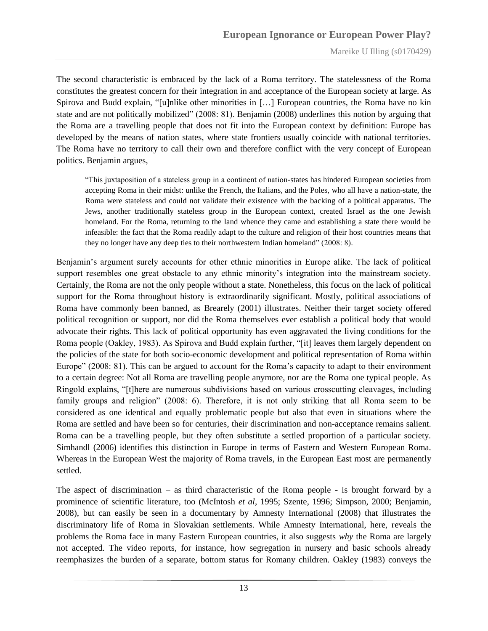The second characteristic is embraced by the lack of a Roma territory. The statelessness of the Roma constitutes the greatest concern for their integration in and acceptance of the European society at large. As Spirova and Budd explain, "[u]nlike other minorities in […] European countries, the Roma have no kin state and are not politically mobilized" (2008: 81). Benjamin (2008) underlines this notion by arguing that the Roma are a travelling people that does not fit into the European context by definition: Europe has developed by the means of nation states, where state frontiers usually coincide with national territories. The Roma have no territory to call their own and therefore conflict with the very concept of European politics. Benjamin argues,

"This juxtaposition of a stateless group in a continent of nation-states has hindered European societies from accepting Roma in their midst: unlike the French, the Italians, and the Poles, who all have a nation-state, the Roma were stateless and could not validate their existence with the backing of a political apparatus. The Jews, another traditionally stateless group in the European context, created Israel as the one Jewish homeland. For the Roma, returning to the land whence they came and establishing a state there would be infeasible: the fact that the Roma readily adapt to the culture and religion of their host countries means that they no longer have any deep ties to their northwestern Indian homeland" (2008: 8).

Benjamin"s argument surely accounts for other ethnic minorities in Europe alike. The lack of political support resembles one great obstacle to any ethnic minority's integration into the mainstream society. Certainly, the Roma are not the only people without a state. Nonetheless, this focus on the lack of political support for the Roma throughout history is extraordinarily significant. Mostly, political associations of Roma have commonly been banned, as Brearely (2001) illustrates. Neither their target society offered political recognition or support, nor did the Roma themselves ever establish a political body that would advocate their rights. This lack of political opportunity has even aggravated the living conditions for the Roma people (Oakley, 1983). As Spirova and Budd explain further, "[it] leaves them largely dependent on the policies of the state for both socio-economic development and political representation of Roma within Europe" (2008: 81). This can be argued to account for the Roma's capacity to adapt to their environment to a certain degree: Not all Roma are travelling people anymore, nor are the Roma one typical people. As Ringold explains, "[t]here are numerous subdivisions based on various crosscutting cleavages, including family groups and religion" (2008: 6). Therefore, it is not only striking that all Roma seem to be considered as one identical and equally problematic people but also that even in situations where the Roma are settled and have been so for centuries, their discrimination and non-acceptance remains salient. Roma can be a travelling people, but they often substitute a settled proportion of a particular society. Simhandl (2006) identifies this distinction in Europe in terms of Eastern and Western European Roma. Whereas in the European West the majority of Roma travels, in the European East most are permanently settled.

The aspect of discrimination – as third characteristic of the Roma people - is brought forward by a prominence of scientific literature, too (McIntosh *et al*, 1995; Szente, 1996; Simpson, 2000; Benjamin, 2008), but can easily be seen in a documentary by Amnesty International (2008) that illustrates the discriminatory life of Roma in Slovakian settlements. While Amnesty International, here, reveals the problems the Roma face in many Eastern European countries, it also suggests *why* the Roma are largely not accepted. The video reports, for instance, how segregation in nursery and basic schools already reemphasizes the burden of a separate, bottom status for Romany children. Oakley (1983) conveys the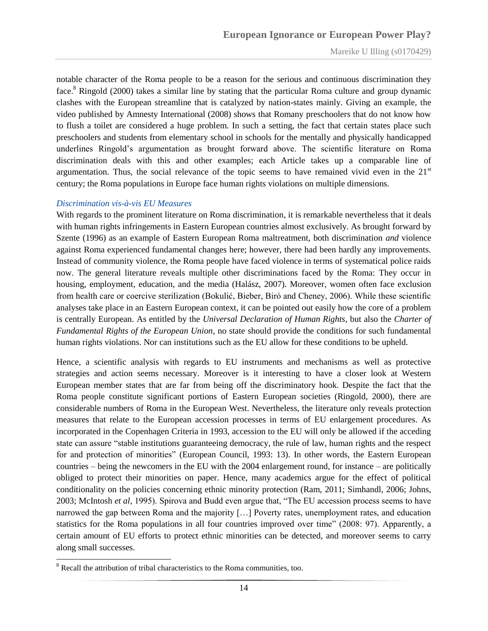notable character of the Roma people to be a reason for the serious and continuous discrimination they face.<sup>8</sup> Ringold (2000) takes a similar line by stating that the particular Roma culture and group dynamic clashes with the European streamline that is catalyzed by nation-states mainly. Giving an example, the video published by Amnesty International (2008) shows that Romany preschoolers that do not know how to flush a toilet are considered a huge problem. In such a setting, the fact that certain states place such preschoolers and students from elementary school in schools for the mentally and physically handicapped underlines Ringold"s argumentation as brought forward above. The scientific literature on Roma discrimination deals with this and other examples; each Article takes up a comparable line of argumentation. Thus, the social relevance of the topic seems to have remained vivid even in the  $21<sup>st</sup>$ century; the Roma populations in Europe face human rights violations on multiple dimensions.

#### <span id="page-13-0"></span>*Discrimination vis-à-vis EU Measures*

With regards to the prominent literature on Roma discrimination, it is remarkable nevertheless that it deals with human rights infringements in Eastern European countries almost exclusively. As brought forward by Szente (1996) as an example of Eastern European Roma maltreatment, both discrimination *and* violence against Roma experienced fundamental changes here; however, there had been hardly any improvements. Instead of community violence, the Roma people have faced violence in terms of systematical police raids now. The general literature reveals multiple other discriminations faced by the Roma: They occur in housing, employment, education, and the media (Halász, 2007). Moreover, women often face exclusion from health care or coercive sterilization (Bokulić, Bieber, Biró and Cheney, 2006). While these scientific analyses take place in an Eastern European context, it can be pointed out easily how the core of a problem is centrally European. As entitled by the *Universal Declaration of Human Rights*, but also the *Charter of Fundamental Rights of the European Union*, no state should provide the conditions for such fundamental human rights violations. Nor can institutions such as the EU allow for these conditions to be upheld.

Hence, a scientific analysis with regards to EU instruments and mechanisms as well as protective strategies and action seems necessary. Moreover is it interesting to have a closer look at Western European member states that are far from being off the discriminatory hook. Despite the fact that the Roma people constitute significant portions of Eastern European societies (Ringold, 2000), there are considerable numbers of Roma in the European West. Nevertheless, the literature only reveals protection measures that relate to the European accession processes in terms of EU enlargement procedures. As incorporated in the Copenhagen Criteria in 1993, accession to the EU will only be allowed if the acceding state can assure "stable institutions guaranteeing democracy, the rule of law, human rights and the respect for and protection of minorities" (European Council, 1993: 13). In other words, the Eastern European countries – being the newcomers in the EU with the 2004 enlargement round, for instance – are politically obliged to protect their minorities on paper. Hence, many academics argue for the effect of political conditionality on the policies concerning ethnic minority protection (Ram, 2011; Simhandl, 2006; Johns, 2003; McIntosh *et al,* 1995). Spirova and Budd even argue that, "The EU accession process seems to have narrowed the gap between Roma and the majority […] Poverty rates, unemployment rates, and education statistics for the Roma populations in all four countries improved over time" (2008: 97). Apparently, a certain amount of EU efforts to protect ethnic minorities can be detected, and moreover seems to carry along small successes.

 $8$  Recall the attribution of tribal characteristics to the Roma communities, too.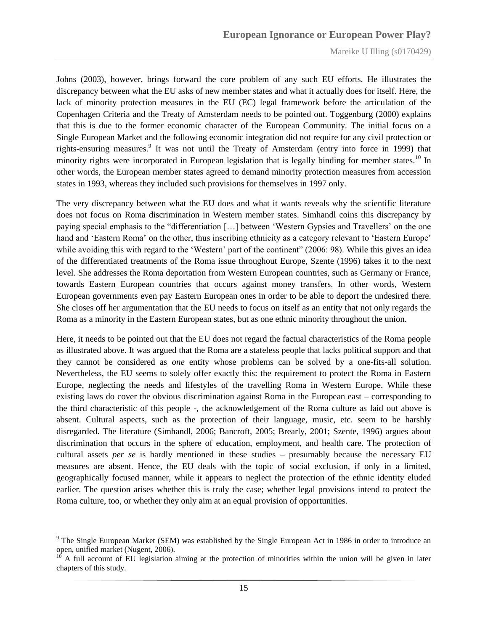Johns (2003), however, brings forward the core problem of any such EU efforts. He illustrates the discrepancy between what the EU asks of new member states and what it actually does for itself. Here, the lack of minority protection measures in the EU (EC) legal framework before the articulation of the Copenhagen Criteria and the Treaty of Amsterdam needs to be pointed out. Toggenburg (2000) explains that this is due to the former economic character of the European Community. The initial focus on a Single European Market and the following economic integration did not require for any civil protection or rights-ensuring measures.<sup>9</sup> It was not until the Treaty of Amsterdam (entry into force in 1999) that minority rights were incorporated in European legislation that is legally binding for member states.<sup>10</sup> In other words, the European member states agreed to demand minority protection measures from accession states in 1993, whereas they included such provisions for themselves in 1997 only.

The very discrepancy between what the EU does and what it wants reveals why the scientific literature does not focus on Roma discrimination in Western member states. Simhandl coins this discrepancy by paying special emphasis to the "differentiation […] between "Western Gypsies and Travellers" on the one hand and 'Eastern Roma' on the other, thus inscribing ethnicity as a category relevant to 'Eastern Europe' while avoiding this with regard to the 'Western' part of the continent" (2006: 98). While this gives an idea of the differentiated treatments of the Roma issue throughout Europe, Szente (1996) takes it to the next level. She addresses the Roma deportation from Western European countries, such as Germany or France, towards Eastern European countries that occurs against money transfers. In other words, Western European governments even pay Eastern European ones in order to be able to deport the undesired there. She closes off her argumentation that the EU needs to focus on itself as an entity that not only regards the Roma as a minority in the Eastern European states, but as one ethnic minority throughout the union.

Here, it needs to be pointed out that the EU does not regard the factual characteristics of the Roma people as illustrated above. It was argued that the Roma are a stateless people that lacks political support and that they cannot be considered as *one* entity whose problems can be solved by a one-fits-all solution. Nevertheless, the EU seems to solely offer exactly this: the requirement to protect the Roma in Eastern Europe, neglecting the needs and lifestyles of the travelling Roma in Western Europe. While these existing laws do cover the obvious discrimination against Roma in the European east – corresponding to the third characteristic of this people -, the acknowledgement of the Roma culture as laid out above is absent. Cultural aspects, such as the protection of their language, music, etc. seem to be harshly disregarded. The literature (Simhandl, 2006; Bancroft, 2005; Brearly, 2001; Szente, 1996) argues about discrimination that occurs in the sphere of education, employment, and health care. The protection of cultural assets *per se* is hardly mentioned in these studies – presumably because the necessary EU measures are absent. Hence, the EU deals with the topic of social exclusion, if only in a limited, geographically focused manner, while it appears to neglect the protection of the ethnic identity eluded earlier. The question arises whether this is truly the case; whether legal provisions intend to protect the Roma culture, too, or whether they only aim at an equal provision of opportunities.

<sup>&</sup>lt;sup>9</sup> The Single European Market (SEM) was established by the Single European Act in 1986 in order to introduce an open, unified market (Nugent, 2006).

 $10<sup>10</sup>$  A full account of EU legislation aiming at the protection of minorities within the union will be given in later chapters of this study.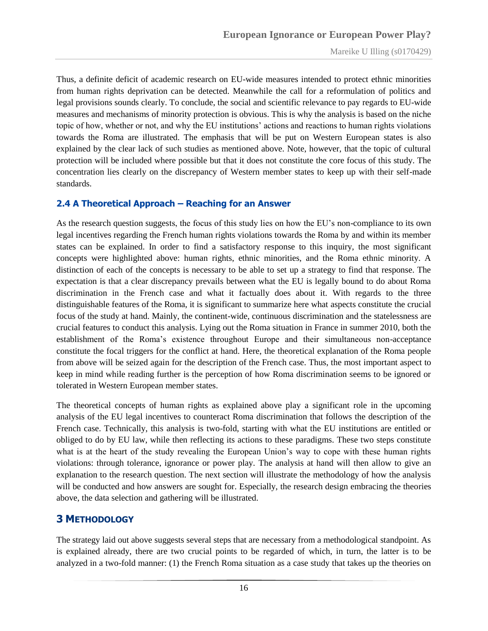Thus, a definite deficit of academic research on EU-wide measures intended to protect ethnic minorities from human rights deprivation can be detected. Meanwhile the call for a reformulation of politics and legal provisions sounds clearly. To conclude, the social and scientific relevance to pay regards to EU-wide measures and mechanisms of minority protection is obvious. This is why the analysis is based on the niche topic of how, whether or not, and why the EU institutions" actions and reactions to human rights violations towards the Roma are illustrated. The emphasis that will be put on Western European states is also explained by the clear lack of such studies as mentioned above. Note, however, that the topic of cultural protection will be included where possible but that it does not constitute the core focus of this study. The concentration lies clearly on the discrepancy of Western member states to keep up with their self-made standards.

#### <span id="page-15-0"></span>**2.4 A Theoretical Approach – Reaching for an Answer**

As the research question suggests, the focus of this study lies on how the EU"s non-compliance to its own legal incentives regarding the French human rights violations towards the Roma by and within its member states can be explained. In order to find a satisfactory response to this inquiry, the most significant concepts were highlighted above: human rights, ethnic minorities, and the Roma ethnic minority. A distinction of each of the concepts is necessary to be able to set up a strategy to find that response. The expectation is that a clear discrepancy prevails between what the EU is legally bound to do about Roma discrimination in the French case and what it factually does about it. With regards to the three distinguishable features of the Roma, it is significant to summarize here what aspects constitute the crucial focus of the study at hand. Mainly, the continent-wide, continuous discrimination and the statelessness are crucial features to conduct this analysis. Lying out the Roma situation in France in summer 2010, both the establishment of the Roma"s existence throughout Europe and their simultaneous non-acceptance constitute the focal triggers for the conflict at hand. Here, the theoretical explanation of the Roma people from above will be seized again for the description of the French case. Thus, the most important aspect to keep in mind while reading further is the perception of how Roma discrimination seems to be ignored or tolerated in Western European member states.

The theoretical concepts of human rights as explained above play a significant role in the upcoming analysis of the EU legal incentives to counteract Roma discrimination that follows the description of the French case. Technically, this analysis is two-fold, starting with what the EU institutions are entitled or obliged to do by EU law, while then reflecting its actions to these paradigms. These two steps constitute what is at the heart of the study revealing the European Union"s way to cope with these human rights violations: through tolerance, ignorance or power play. The analysis at hand will then allow to give an explanation to the research question. The next section will illustrate the methodology of how the analysis will be conducted and how answers are sought for. Especially, the research design embracing the theories above, the data selection and gathering will be illustrated.

#### <span id="page-15-1"></span>**3 METHODOLOGY**

The strategy laid out above suggests several steps that are necessary from a methodological standpoint. As is explained already, there are two crucial points to be regarded of which, in turn, the latter is to be analyzed in a two-fold manner: (1) the French Roma situation as a case study that takes up the theories on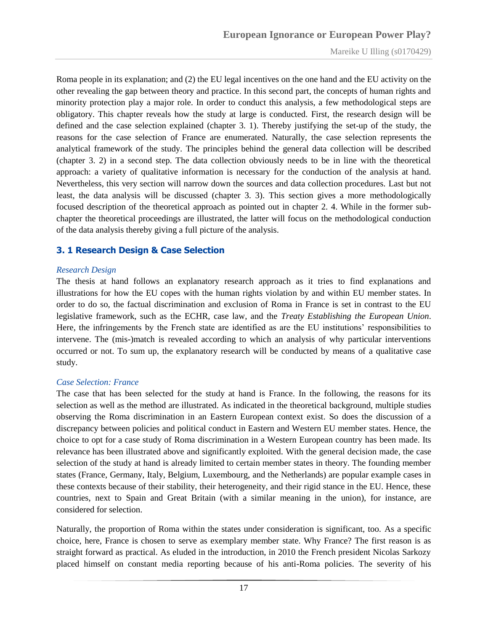Roma people in its explanation; and (2) the EU legal incentives on the one hand and the EU activity on the other revealing the gap between theory and practice. In this second part, the concepts of human rights and minority protection play a major role. In order to conduct this analysis, a few methodological steps are obligatory. This chapter reveals how the study at large is conducted. First, the research design will be defined and the case selection explained (chapter 3. 1). Thereby justifying the set-up of the study, the reasons for the case selection of France are enumerated. Naturally, the case selection represents the analytical framework of the study. The principles behind the general data collection will be described (chapter 3. 2) in a second step. The data collection obviously needs to be in line with the theoretical approach: a variety of qualitative information is necessary for the conduction of the analysis at hand. Nevertheless, this very section will narrow down the sources and data collection procedures. Last but not least, the data analysis will be discussed (chapter 3. 3). This section gives a more methodologically focused description of the theoretical approach as pointed out in chapter 2. 4. While in the former subchapter the theoretical proceedings are illustrated, the latter will focus on the methodological conduction of the data analysis thereby giving a full picture of the analysis.

#### <span id="page-16-0"></span>**3. 1 Research Design & Case Selection**

#### <span id="page-16-1"></span>*Research Design*

The thesis at hand follows an explanatory research approach as it tries to find explanations and illustrations for how the EU copes with the human rights violation by and within EU member states. In order to do so, the factual discrimination and exclusion of Roma in France is set in contrast to the EU legislative framework, such as the ECHR, case law, and the *Treaty Establishing the European Union*. Here, the infringements by the French state are identified as are the EU institutions" responsibilities to intervene. The (mis-)match is revealed according to which an analysis of why particular interventions occurred or not. To sum up, the explanatory research will be conducted by means of a qualitative case study.

#### <span id="page-16-2"></span>*Case Selection: France*

The case that has been selected for the study at hand is France. In the following, the reasons for its selection as well as the method are illustrated. As indicated in the theoretical background, multiple studies observing the Roma discrimination in an Eastern European context exist. So does the discussion of a discrepancy between policies and political conduct in Eastern and Western EU member states. Hence, the choice to opt for a case study of Roma discrimination in a Western European country has been made. Its relevance has been illustrated above and significantly exploited. With the general decision made, the case selection of the study at hand is already limited to certain member states in theory. The founding member states (France, Germany, Italy, Belgium, Luxembourg, and the Netherlands) are popular example cases in these contexts because of their stability, their heterogeneity, and their rigid stance in the EU. Hence, these countries, next to Spain and Great Britain (with a similar meaning in the union), for instance, are considered for selection.

Naturally, the proportion of Roma within the states under consideration is significant, too. As a specific choice, here, France is chosen to serve as exemplary member state. Why France? The first reason is as straight forward as practical. As eluded in the introduction, in 2010 the French president Nicolas Sarkozy placed himself on constant media reporting because of his anti-Roma policies. The severity of his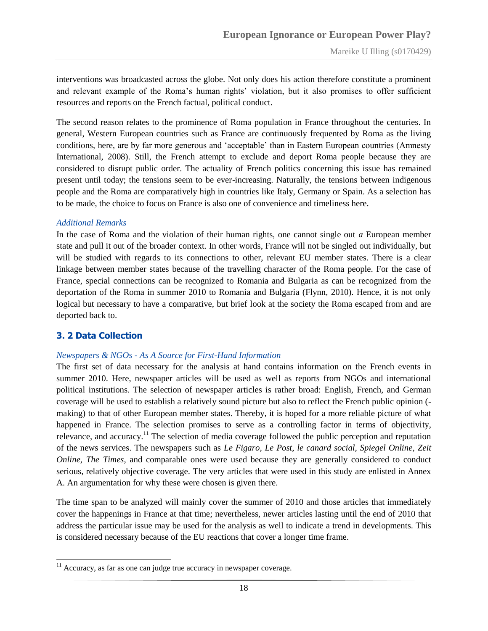interventions was broadcasted across the globe. Not only does his action therefore constitute a prominent and relevant example of the Roma's human rights' violation, but it also promises to offer sufficient resources and reports on the French factual, political conduct.

The second reason relates to the prominence of Roma population in France throughout the centuries. In general, Western European countries such as France are continuously frequented by Roma as the living conditions, here, are by far more generous and "acceptable" than in Eastern European countries (Amnesty International, 2008). Still, the French attempt to exclude and deport Roma people because they are considered to disrupt public order. The actuality of French politics concerning this issue has remained present until today; the tensions seem to be ever-increasing. Naturally, the tensions between indigenous people and the Roma are comparatively high in countries like Italy, Germany or Spain. As a selection has to be made, the choice to focus on France is also one of convenience and timeliness here.

#### <span id="page-17-0"></span>*Additional Remarks*

In the case of Roma and the violation of their human rights, one cannot single out *a* European member state and pull it out of the broader context. In other words, France will not be singled out individually, but will be studied with regards to its connections to other, relevant EU member states. There is a clear linkage between member states because of the travelling character of the Roma people. For the case of France, special connections can be recognized to Romania and Bulgaria as can be recognized from the deportation of the Roma in summer 2010 to Romania and Bulgaria (Flynn, 2010). Hence, it is not only logical but necessary to have a comparative, but brief look at the society the Roma escaped from and are deported back to.

#### <span id="page-17-1"></span>**3. 2 Data Collection**

#### <span id="page-17-2"></span>*Newspapers & NGOs - As A Source for First-Hand Information*

The first set of data necessary for the analysis at hand contains information on the French events in summer 2010. Here, newspaper articles will be used as well as reports from NGOs and international political institutions. The selection of newspaper articles is rather broad: English, French, and German coverage will be used to establish a relatively sound picture but also to reflect the French public opinion ( making) to that of other European member states. Thereby, it is hoped for a more reliable picture of what happened in France. The selection promises to serve as a controlling factor in terms of objectivity, relevance, and accuracy.<sup>11</sup> The selection of media coverage followed the public perception and reputation of the news services. The newspapers such as *Le Figaro, Le Post*, *le canard social, Spiegel Online, Zeit Online*, *The Times*, and comparable ones were used because they are generally considered to conduct serious, relatively objective coverage. The very articles that were used in this study are enlisted in Annex A. An argumentation for why these were chosen is given there.

The time span to be analyzed will mainly cover the summer of 2010 and those articles that immediately cover the happenings in France at that time; nevertheless, newer articles lasting until the end of 2010 that address the particular issue may be used for the analysis as well to indicate a trend in developments. This is considered necessary because of the EU reactions that cover a longer time frame.

 $11$  Accuracy, as far as one can judge true accuracy in newspaper coverage.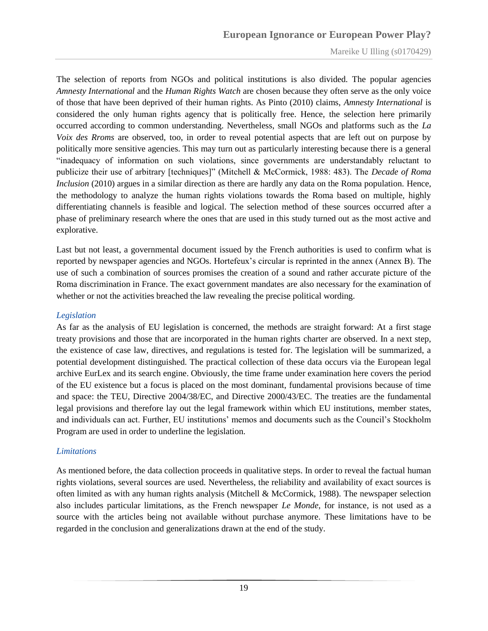The selection of reports from NGOs and political institutions is also divided. The popular agencies *Amnesty International* and the *Human Rights Watch* are chosen because they often serve as the only voice of those that have been deprived of their human rights. As Pinto (2010) claims, *Amnesty International* is considered the only human rights agency that is politically free. Hence, the selection here primarily occurred according to common understanding. Nevertheless, small NGOs and platforms such as the *La Voix des Rroms* are observed, too, in order to reveal potential aspects that are left out on purpose by politically more sensitive agencies. This may turn out as particularly interesting because there is a general "inadequacy of information on such violations, since governments are understandably reluctant to publicize their use of arbitrary [techniques]" (Mitchell & McCormick, 1988: 483). The *Decade of Roma Inclusion* (2010) argues in a similar direction as there are hardly any data on the Roma population. Hence, the methodology to analyze the human rights violations towards the Roma based on multiple, highly differentiating channels is feasible and logical. The selection method of these sources occurred after a phase of preliminary research where the ones that are used in this study turned out as the most active and explorative.

Last but not least, a governmental document issued by the French authorities is used to confirm what is reported by newspaper agencies and NGOs. Hortefeux"s circular is reprinted in the annex (Annex B). The use of such a combination of sources promises the creation of a sound and rather accurate picture of the Roma discrimination in France. The exact government mandates are also necessary for the examination of whether or not the activities breached the law revealing the precise political wording.

#### <span id="page-18-0"></span>*Legislation*

As far as the analysis of EU legislation is concerned, the methods are straight forward: At a first stage treaty provisions and those that are incorporated in the human rights charter are observed. In a next step, the existence of case law, directives, and regulations is tested for. The legislation will be summarized, a potential development distinguished. The practical collection of these data occurs via the European legal archive EurLex and its search engine. Obviously, the time frame under examination here covers the period of the EU existence but a focus is placed on the most dominant, fundamental provisions because of time and space: the TEU, Directive 2004/38/EC, and Directive 2000/43/EC. The treaties are the fundamental legal provisions and therefore lay out the legal framework within which EU institutions, member states, and individuals can act. Further, EU institutions" memos and documents such as the Council"s Stockholm Program are used in order to underline the legislation.

#### <span id="page-18-1"></span>*Limitations*

As mentioned before, the data collection proceeds in qualitative steps. In order to reveal the factual human rights violations, several sources are used. Nevertheless, the reliability and availability of exact sources is often limited as with any human rights analysis (Mitchell & McCormick, 1988). The newspaper selection also includes particular limitations, as the French newspaper *Le Monde*, for instance, is not used as a source with the articles being not available without purchase anymore. These limitations have to be regarded in the conclusion and generalizations drawn at the end of the study.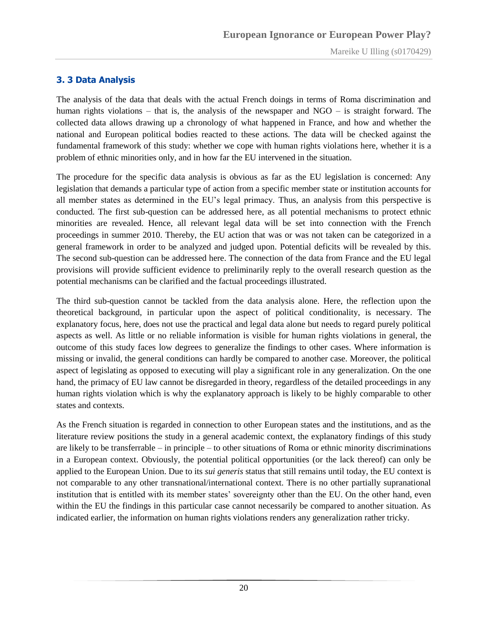#### <span id="page-19-0"></span>**3. 3 Data Analysis**

The analysis of the data that deals with the actual French doings in terms of Roma discrimination and human rights violations – that is, the analysis of the newspaper and  $NGO -$  is straight forward. The collected data allows drawing up a chronology of what happened in France, and how and whether the national and European political bodies reacted to these actions. The data will be checked against the fundamental framework of this study: whether we cope with human rights violations here, whether it is a problem of ethnic minorities only, and in how far the EU intervened in the situation.

The procedure for the specific data analysis is obvious as far as the EU legislation is concerned: Any legislation that demands a particular type of action from a specific member state or institution accounts for all member states as determined in the EU"s legal primacy. Thus, an analysis from this perspective is conducted. The first sub-question can be addressed here, as all potential mechanisms to protect ethnic minorities are revealed. Hence, all relevant legal data will be set into connection with the French proceedings in summer 2010. Thereby, the EU action that was or was not taken can be categorized in a general framework in order to be analyzed and judged upon. Potential deficits will be revealed by this. The second sub-question can be addressed here. The connection of the data from France and the EU legal provisions will provide sufficient evidence to preliminarily reply to the overall research question as the potential mechanisms can be clarified and the factual proceedings illustrated.

The third sub-question cannot be tackled from the data analysis alone. Here, the reflection upon the theoretical background, in particular upon the aspect of political conditionality, is necessary. The explanatory focus, here, does not use the practical and legal data alone but needs to regard purely political aspects as well. As little or no reliable information is visible for human rights violations in general, the outcome of this study faces low degrees to generalize the findings to other cases. Where information is missing or invalid, the general conditions can hardly be compared to another case. Moreover, the political aspect of legislating as opposed to executing will play a significant role in any generalization. On the one hand, the primacy of EU law cannot be disregarded in theory, regardless of the detailed proceedings in any human rights violation which is why the explanatory approach is likely to be highly comparable to other states and contexts.

As the French situation is regarded in connection to other European states and the institutions, and as the literature review positions the study in a general academic context, the explanatory findings of this study are likely to be transferrable – in principle – to other situations of Roma or ethnic minority discriminations in a European context. Obviously, the potential political opportunities (or the lack thereof) can only be applied to the European Union. Due to its *sui generis* status that still remains until today, the EU context is not comparable to any other transnational/international context. There is no other partially supranational institution that is entitled with its member states' sovereignty other than the EU. On the other hand, even within the EU the findings in this particular case cannot necessarily be compared to another situation. As indicated earlier, the information on human rights violations renders any generalization rather tricky.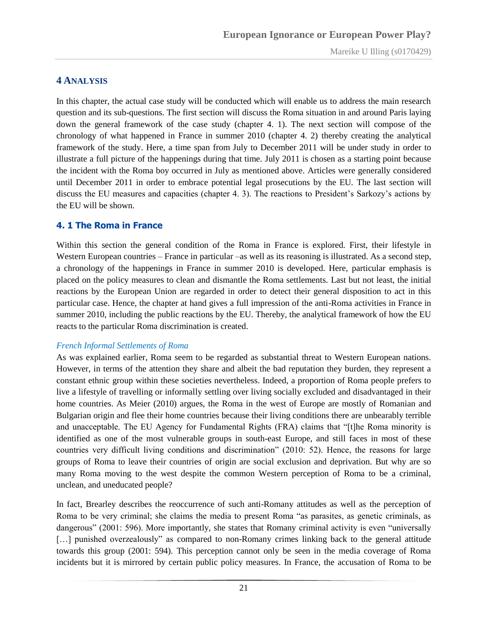#### <span id="page-20-0"></span>**4 ANALYSIS**

In this chapter, the actual case study will be conducted which will enable us to address the main research question and its sub-questions. The first section will discuss the Roma situation in and around Paris laying down the general framework of the case study (chapter 4. 1). The next section will compose of the chronology of what happened in France in summer 2010 (chapter 4. 2) thereby creating the analytical framework of the study. Here, a time span from July to December 2011 will be under study in order to illustrate a full picture of the happenings during that time. July 2011 is chosen as a starting point because the incident with the Roma boy occurred in July as mentioned above. Articles were generally considered until December 2011 in order to embrace potential legal prosecutions by the EU. The last section will discuss the EU measures and capacities (chapter 4. 3). The reactions to President"s Sarkozy"s actions by the EU will be shown.

#### <span id="page-20-1"></span>**4. 1 The Roma in France**

Within this section the general condition of the Roma in France is explored. First, their lifestyle in Western European countries – France in particular –as well as its reasoning is illustrated. As a second step, a chronology of the happenings in France in summer 2010 is developed. Here, particular emphasis is placed on the policy measures to clean and dismantle the Roma settlements. Last but not least, the initial reactions by the European Union are regarded in order to detect their general disposition to act in this particular case. Hence, the chapter at hand gives a full impression of the anti-Roma activities in France in summer 2010, including the public reactions by the EU. Thereby, the analytical framework of how the EU reacts to the particular Roma discrimination is created.

#### <span id="page-20-2"></span>*French Informal Settlements of Roma*

As was explained earlier, Roma seem to be regarded as substantial threat to Western European nations. However, in terms of the attention they share and albeit the bad reputation they burden, they represent a constant ethnic group within these societies nevertheless. Indeed, a proportion of Roma people prefers to live a lifestyle of travelling or informally settling over living socially excluded and disadvantaged in their home countries. As Meier (2010) argues, the Roma in the west of Europe are mostly of Romanian and Bulgarian origin and flee their home countries because their living conditions there are unbearably terrible and unacceptable. The EU Agency for Fundamental Rights (FRA) claims that "[t]he Roma minority is identified as one of the most vulnerable groups in south-east Europe, and still faces in most of these countries very difficult living conditions and discrimination" (2010: 52). Hence, the reasons for large groups of Roma to leave their countries of origin are social exclusion and deprivation. But why are so many Roma moving to the west despite the common Western perception of Roma to be a criminal, unclean, and uneducated people?

In fact, Brearley describes the reoccurrence of such anti-Romany attitudes as well as the perception of Roma to be very criminal; she claims the media to present Roma "as parasites, as genetic criminals, as dangerous" (2001: 596). More importantly, she states that Romany criminal activity is even "universally [...] punished overzealously" as compared to non-Romany crimes linking back to the general attitude towards this group (2001: 594). This perception cannot only be seen in the media coverage of Roma incidents but it is mirrored by certain public policy measures. In France, the accusation of Roma to be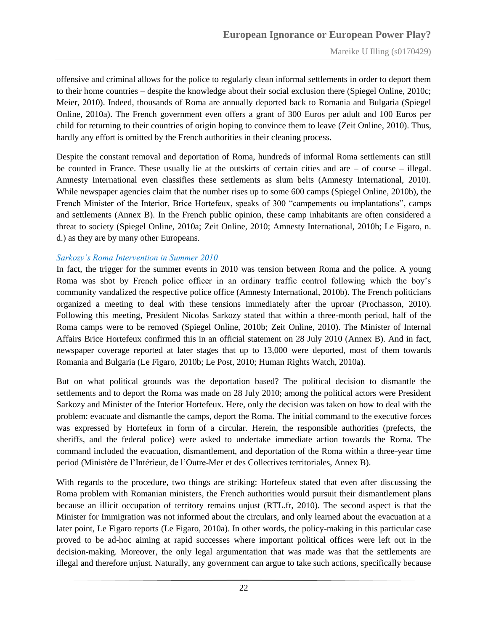offensive and criminal allows for the police to regularly clean informal settlements in order to deport them to their home countries – despite the knowledge about their social exclusion there (Spiegel Online, 2010c; Meier, 2010). Indeed, thousands of Roma are annually deported back to Romania and Bulgaria (Spiegel Online, 2010a). The French government even offers a grant of 300 Euros per adult and 100 Euros per child for returning to their countries of origin hoping to convince them to leave (Zeit Online, 2010). Thus, hardly any effort is omitted by the French authorities in their cleaning process.

Despite the constant removal and deportation of Roma, hundreds of informal Roma settlements can still be counted in France. These usually lie at the outskirts of certain cities and are – of course – illegal. Amnesty International even classifies these settlements as slum belts (Amnesty International, 2010). While newspaper agencies claim that the number rises up to some 600 camps (Spiegel Online, 2010b), the French Minister of the Interior, Brice Hortefeux, speaks of 300 "campements ou implantations", camps and settlements (Annex B). In the French public opinion, these camp inhabitants are often considered a threat to society (Spiegel Online, 2010a; Zeit Online, 2010; Amnesty International, 2010b; Le Figaro, n. d.) as they are by many other Europeans.

#### <span id="page-21-0"></span>*Sarkozy's Roma Intervention in Summer 2010*

In fact, the trigger for the summer events in 2010 was tension between Roma and the police. A young Roma was shot by French police officer in an ordinary traffic control following which the boy"s community vandalized the respective police office (Amnesty International, 2010b). The French politicians organized a meeting to deal with these tensions immediately after the uproar (Prochasson, 2010). Following this meeting, President Nicolas Sarkozy stated that within a three-month period, half of the Roma camps were to be removed (Spiegel Online, 2010b; Zeit Online, 2010). The Minister of Internal Affairs Brice Hortefeux confirmed this in an official statement on 28 July 2010 (Annex B). And in fact, newspaper coverage reported at later stages that up to 13,000 were deported, most of them towards Romania and Bulgaria (Le Figaro, 2010b; Le Post, 2010; Human Rights Watch, 2010a).

But on what political grounds was the deportation based? The political decision to dismantle the settlements and to deport the Roma was made on 28 July 2010; among the political actors were President Sarkozy and Minister of the Interior Hortefeux. Here, only the decision was taken on how to deal with the problem: evacuate and dismantle the camps, deport the Roma. The initial command to the executive forces was expressed by Hortefeux in form of a circular. Herein, the responsible authorities (prefects, the sheriffs, and the federal police) were asked to undertake immediate action towards the Roma. The command included the evacuation, dismantlement, and deportation of the Roma within a three-year time period (Ministère de l"Intérieur, de l"Outre-Mer et des Collectives territoriales, Annex B).

With regards to the procedure, two things are striking: Hortefeux stated that even after discussing the Roma problem with Romanian ministers, the French authorities would pursuit their dismantlement plans because an illicit occupation of territory remains unjust (RTL.fr, 2010). The second aspect is that the Minister for Immigration was not informed about the circulars, and only learned about the evacuation at a later point, Le Figaro reports (Le Figaro, 2010a). In other words, the policy-making in this particular case proved to be ad-hoc aiming at rapid successes where important political offices were left out in the decision-making. Moreover, the only legal argumentation that was made was that the settlements are illegal and therefore unjust. Naturally, any government can argue to take such actions, specifically because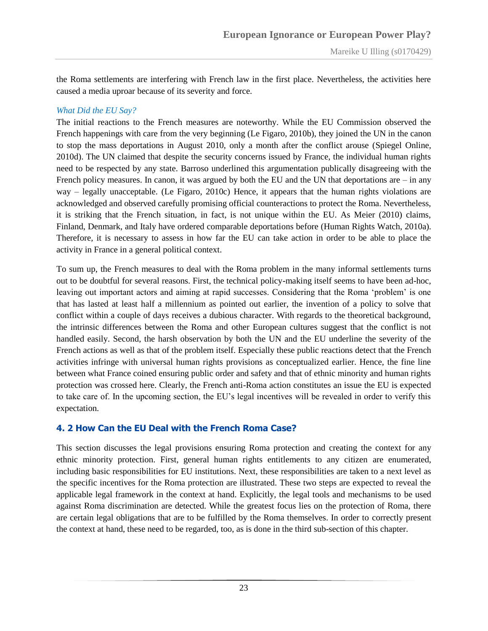the Roma settlements are interfering with French law in the first place. Nevertheless, the activities here caused a media uproar because of its severity and force.

#### <span id="page-22-0"></span>*What Did the EU Say?*

The initial reactions to the French measures are noteworthy. While the EU Commission observed the French happenings with care from the very beginning (Le Figaro, 2010b), they joined the UN in the canon to stop the mass deportations in August 2010, only a month after the conflict arouse (Spiegel Online, 2010d). The UN claimed that despite the security concerns issued by France, the individual human rights need to be respected by any state. Barroso underlined this argumentation publically disagreeing with the French policy measures. In canon, it was argued by both the EU and the UN that deportations are – in any way – legally unacceptable. (Le Figaro, 2010c) Hence, it appears that the human rights violations are acknowledged and observed carefully promising official counteractions to protect the Roma. Nevertheless, it is striking that the French situation, in fact, is not unique within the EU. As Meier (2010) claims, Finland, Denmark, and Italy have ordered comparable deportations before (Human Rights Watch, 2010a). Therefore, it is necessary to assess in how far the EU can take action in order to be able to place the activity in France in a general political context.

To sum up, the French measures to deal with the Roma problem in the many informal settlements turns out to be doubtful for several reasons. First, the technical policy-making itself seems to have been ad-hoc, leaving out important actors and aiming at rapid successes. Considering that the Roma "problem" is one that has lasted at least half a millennium as pointed out earlier, the invention of a policy to solve that conflict within a couple of days receives a dubious character. With regards to the theoretical background, the intrinsic differences between the Roma and other European cultures suggest that the conflict is not handled easily. Second, the harsh observation by both the UN and the EU underline the severity of the French actions as well as that of the problem itself. Especially these public reactions detect that the French activities infringe with universal human rights provisions as conceptualized earlier. Hence, the fine line between what France coined ensuring public order and safety and that of ethnic minority and human rights protection was crossed here. Clearly, the French anti-Roma action constitutes an issue the EU is expected to take care of. In the upcoming section, the EU"s legal incentives will be revealed in order to verify this expectation.

#### <span id="page-22-1"></span>**4. 2 How Can the EU Deal with the French Roma Case?**

This section discusses the legal provisions ensuring Roma protection and creating the context for any ethnic minority protection. First, general human rights entitlements to any citizen are enumerated, including basic responsibilities for EU institutions. Next, these responsibilities are taken to a next level as the specific incentives for the Roma protection are illustrated. These two steps are expected to reveal the applicable legal framework in the context at hand. Explicitly, the legal tools and mechanisms to be used against Roma discrimination are detected. While the greatest focus lies on the protection of Roma, there are certain legal obligations that are to be fulfilled by the Roma themselves. In order to correctly present the context at hand, these need to be regarded, too, as is done in the third sub-section of this chapter.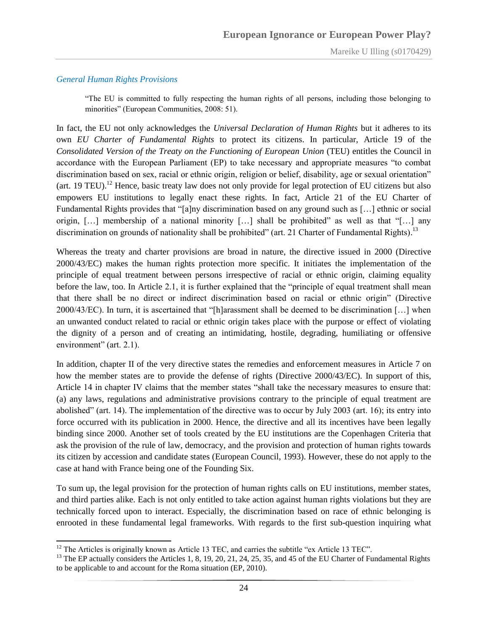#### <span id="page-23-0"></span>*General Human Rights Provisions*

"The EU is committed to fully respecting the human rights of all persons, including those belonging to minorities" (European Communities, 2008: 51).

In fact, the EU not only acknowledges the *Universal Declaration of Human Rights* but it adheres to its own *EU Charter of Fundamental Rights* to protect its citizens. In particular, Article 19 of the *Consolidated Version of the Treaty on the Functioning of European Union* (TEU) entitles the Council in accordance with the European Parliament (EP) to take necessary and appropriate measures "to combat discrimination based on sex, racial or ethnic origin, religion or belief, disability, age or sexual orientation" (art. 19 TEU).<sup>12</sup> Hence, basic treaty law does not only provide for legal protection of EU citizens but also empowers EU institutions to legally enact these rights. In fact, Article 21 of the EU Charter of Fundamental Rights provides that "[a]ny discrimination based on any ground such as […] ethnic or social origin, […] membership of a national minority […] shall be prohibited" as well as that "[…] any discrimination on grounds of nationality shall be prohibited" (art. 21 Charter of Fundamental Rights).<sup>13</sup>

Whereas the treaty and charter provisions are broad in nature, the directive issued in 2000 (Directive 2000/43/EC) makes the human rights protection more specific. It initiates the implementation of the principle of equal treatment between persons irrespective of racial or ethnic origin, claiming equality before the law, too. In Article 2.1, it is further explained that the "principle of equal treatment shall mean that there shall be no direct or indirect discrimination based on racial or ethnic origin" (Directive 2000/43/EC). In turn, it is ascertained that "[h]arassment shall be deemed to be discrimination […] when an unwanted conduct related to racial or ethnic origin takes place with the purpose or effect of violating the dignity of a person and of creating an intimidating, hostile, degrading, humiliating or offensive environment" (art. 2.1).

In addition, chapter II of the very directive states the remedies and enforcement measures in Article 7 on how the member states are to provide the defense of rights (Directive 2000/43/EC). In support of this, Article 14 in chapter IV claims that the member states "shall take the necessary measures to ensure that: (a) any laws, regulations and administrative provisions contrary to the principle of equal treatment are abolished" (art. 14). The implementation of the directive was to occur by July 2003 (art. 16); its entry into force occurred with its publication in 2000. Hence, the directive and all its incentives have been legally binding since 2000. Another set of tools created by the EU institutions are the Copenhagen Criteria that ask the provision of the rule of law, democracy, and the provision and protection of human rights towards its citizen by accession and candidate states (European Council, 1993). However, these do not apply to the case at hand with France being one of the Founding Six.

To sum up, the legal provision for the protection of human rights calls on EU institutions, member states, and third parties alike. Each is not only entitled to take action against human rights violations but they are technically forced upon to interact. Especially, the discrimination based on race of ethnic belonging is enrooted in these fundamental legal frameworks. With regards to the first sub-question inquiring what

 $\overline{a}$  $12$  The Articles is originally known as Article 13 TEC, and carries the subtitle "ex Article 13 TEC".

<sup>&</sup>lt;sup>13</sup> The EP actually considers the Articles 1, 8, 19, 20, 21, 24, 25, 35, and 45 of the EU Charter of Fundamental Rights to be applicable to and account for the Roma situation (EP, 2010).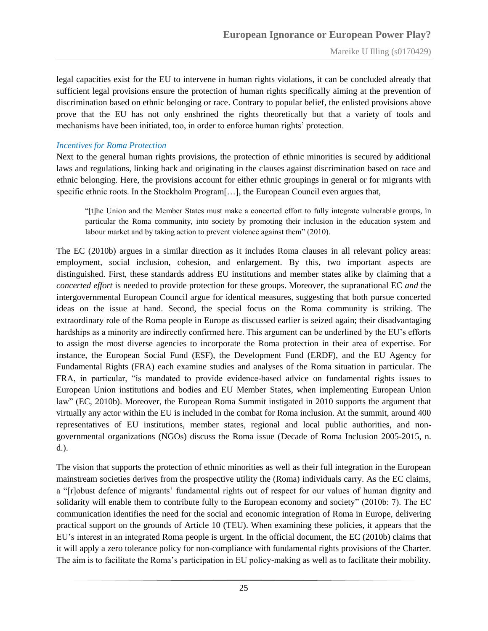legal capacities exist for the EU to intervene in human rights violations, it can be concluded already that sufficient legal provisions ensure the protection of human rights specifically aiming at the prevention of discrimination based on ethnic belonging or race. Contrary to popular belief, the enlisted provisions above prove that the EU has not only enshrined the rights theoretically but that a variety of tools and mechanisms have been initiated, too, in order to enforce human rights' protection.

#### <span id="page-24-0"></span>*Incentives for Roma Protection*

Next to the general human rights provisions, the protection of ethnic minorities is secured by additional laws and regulations, linking back and originating in the clauses against discrimination based on race and ethnic belonging. Here, the provisions account for either ethnic groupings in general or for migrants with specific ethnic roots. In the Stockholm Program[...], the European Council even argues that,

"[t]he Union and the Member States must make a concerted effort to fully integrate vulnerable groups, in particular the Roma community, into society by promoting their inclusion in the education system and labour market and by taking action to prevent violence against them" (2010).

The EC (2010b) argues in a similar direction as it includes Roma clauses in all relevant policy areas: employment, social inclusion, cohesion, and enlargement. By this, two important aspects are distinguished. First, these standards address EU institutions and member states alike by claiming that a *concerted effort* is needed to provide protection for these groups. Moreover, the supranational EC *and* the intergovernmental European Council argue for identical measures, suggesting that both pursue concerted ideas on the issue at hand. Second, the special focus on the Roma community is striking. The extraordinary role of the Roma people in Europe as discussed earlier is seized again; their disadvantaging hardships as a minority are indirectly confirmed here. This argument can be underlined by the EU"s efforts to assign the most diverse agencies to incorporate the Roma protection in their area of expertise. For instance, the European Social Fund (ESF), the Development Fund (ERDF), and the EU Agency for Fundamental Rights (FRA) each examine studies and analyses of the Roma situation in particular. The FRA, in particular, "is mandated to provide evidence-based advice on fundamental rights issues to European Union institutions and bodies and EU Member States, when implementing European Union law" (EC, 2010b). Moreover, the European Roma Summit instigated in 2010 supports the argument that virtually any actor within the EU is included in the combat for Roma inclusion. At the summit, around 400 representatives of EU institutions, member states, regional and local public authorities, and nongovernmental organizations (NGOs) discuss the Roma issue (Decade of Roma Inclusion 2005-2015, n. d.).

The vision that supports the protection of ethnic minorities as well as their full integration in the European mainstream societies derives from the prospective utility the (Roma) individuals carry. As the EC claims, a "[r]obust defence of migrants' fundamental rights out of respect for our values of human dignity and solidarity will enable them to contribute fully to the European economy and society" (2010b: 7). The EC communication identifies the need for the social and economic integration of Roma in Europe, delivering practical support on the grounds of Article 10 (TEU). When examining these policies, it appears that the EU"s interest in an integrated Roma people is urgent. In the official document, the EC (2010b) claims that it will apply a zero tolerance policy for non-compliance with fundamental rights provisions of the Charter. The aim is to facilitate the Roma"s participation in EU policy-making as well as to facilitate their mobility.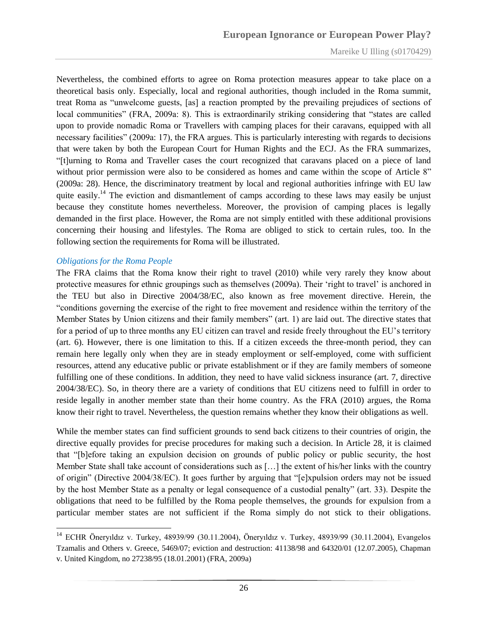Nevertheless, the combined efforts to agree on Roma protection measures appear to take place on a theoretical basis only. Especially, local and regional authorities, though included in the Roma summit, treat Roma as "unwelcome guests, [as] a reaction prompted by the prevailing prejudices of sections of local communities" (FRA, 2009a: 8). This is extraordinarily striking considering that "states are called upon to provide nomadic Roma or Travellers with camping places for their caravans, equipped with all necessary facilities" (2009a: 17), the FRA argues. This is particularly interesting with regards to decisions that were taken by both the European Court for Human Rights and the ECJ. As the FRA summarizes, "[t]urning to Roma and Traveller cases the court recognized that caravans placed on a piece of land without prior permission were also to be considered as homes and came within the scope of Article 8" (2009a: 28). Hence, the discriminatory treatment by local and regional authorities infringe with EU law quite easily.<sup>14</sup> The eviction and dismantlement of camps according to these laws may easily be unjust because they constitute homes nevertheless. Moreover, the provision of camping places is legally demanded in the first place. However, the Roma are not simply entitled with these additional provisions concerning their housing and lifestyles. The Roma are obliged to stick to certain rules, too. In the following section the requirements for Roma will be illustrated.

#### <span id="page-25-0"></span>*Obligations for the Roma People*

The FRA claims that the Roma know their right to travel (2010) while very rarely they know about protective measures for ethnic groupings such as themselves (2009a). Their 'right to travel' is anchored in the TEU but also in Directive 2004/38/EC, also known as free movement directive. Herein, the "conditions governing the exercise of the right to free movement and residence within the territory of the Member States by Union citizens and their family members" (art. 1) are laid out. The directive states that for a period of up to three months any EU citizen can travel and reside freely throughout the EU"s territory (art. 6). However, there is one limitation to this. If a citizen exceeds the three-month period, they can remain here legally only when they are in steady employment or self-employed, come with sufficient resources, attend any educative public or private establishment or if they are family members of someone fulfilling one of these conditions. In addition, they need to have valid sickness insurance (art. 7, directive 2004/38/EC). So, in theory there are a variety of conditions that EU citizens need to fulfill in order to reside legally in another member state than their home country. As the FRA (2010) argues, the Roma know their right to travel. Nevertheless, the question remains whether they know their obligations as well.

While the member states can find sufficient grounds to send back citizens to their countries of origin, the directive equally provides for precise procedures for making such a decision. In Article 28, it is claimed that "[b]efore taking an expulsion decision on grounds of public policy or public security, the host Member State shall take account of considerations such as […] the extent of his/her links with the country of origin" (Directive 2004/38/EC). It goes further by arguing that "[e]xpulsion orders may not be issued by the host Member State as a penalty or legal consequence of a custodial penalty" (art. 33). Despite the obligations that need to be fulfilled by the Roma people themselves, the grounds for expulsion from a particular member states are not sufficient if the Roma simply do not stick to their obligations.

<sup>14</sup> ECHR Öneryıldız v. Turkey, 48939/99 (30.11.2004), Öneryıldız v. Turkey, 48939/99 (30.11.2004), Evangelos Tzamalis and Others v. Greece, 5469/07; eviction and destruction: 41138/98 and 64320/01 (12.07.2005), Chapman v. United Kingdom, no 27238/95 (18.01.2001) (FRA, 2009a)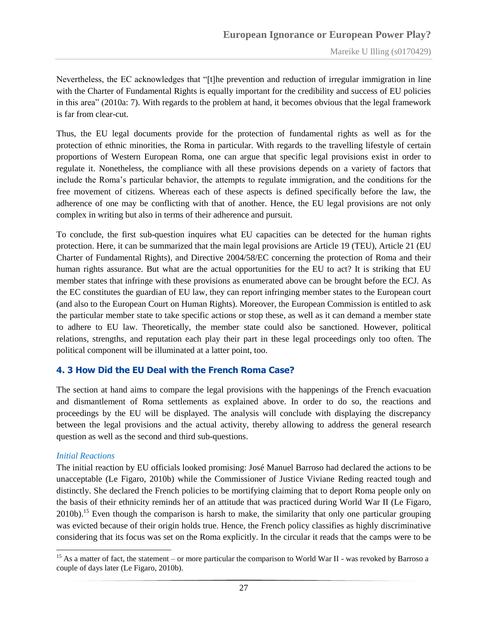Nevertheless, the EC acknowledges that "[t]he prevention and reduction of irregular immigration in line with the Charter of Fundamental Rights is equally important for the credibility and success of EU policies in this area" (2010a: 7). With regards to the problem at hand, it becomes obvious that the legal framework is far from clear-cut.

Thus, the EU legal documents provide for the protection of fundamental rights as well as for the protection of ethnic minorities, the Roma in particular. With regards to the travelling lifestyle of certain proportions of Western European Roma, one can argue that specific legal provisions exist in order to regulate it. Nonetheless, the compliance with all these provisions depends on a variety of factors that include the Roma"s particular behavior, the attempts to regulate immigration, and the conditions for the free movement of citizens. Whereas each of these aspects is defined specifically before the law, the adherence of one may be conflicting with that of another. Hence, the EU legal provisions are not only complex in writing but also in terms of their adherence and pursuit.

To conclude, the first sub-question inquires what EU capacities can be detected for the human rights protection. Here, it can be summarized that the main legal provisions are Article 19 (TEU), Article 21 (EU Charter of Fundamental Rights), and Directive 2004/58/EC concerning the protection of Roma and their human rights assurance. But what are the actual opportunities for the EU to act? It is striking that EU member states that infringe with these provisions as enumerated above can be brought before the ECJ. As the EC constitutes the guardian of EU law, they can report infringing member states to the European court (and also to the European Court on Human Rights). Moreover, the European Commission is entitled to ask the particular member state to take specific actions or stop these, as well as it can demand a member state to adhere to EU law. Theoretically, the member state could also be sanctioned. However, political relations, strengths, and reputation each play their part in these legal proceedings only too often. The political component will be illuminated at a latter point, too.

#### <span id="page-26-0"></span>**4. 3 How Did the EU Deal with the French Roma Case?**

The section at hand aims to compare the legal provisions with the happenings of the French evacuation and dismantlement of Roma settlements as explained above. In order to do so, the reactions and proceedings by the EU will be displayed. The analysis will conclude with displaying the discrepancy between the legal provisions and the actual activity, thereby allowing to address the general research question as well as the second and third sub-questions.

#### <span id="page-26-1"></span>*Initial Reactions*

 $\overline{a}$ 

The initial reaction by EU officials looked promising: José Manuel Barroso had declared the actions to be unacceptable (Le Figaro, 2010b) while the Commissioner of Justice Viviane Reding reacted tough and distinctly. She declared the French policies to be mortifying claiming that to deport Roma people only on the basis of their ethnicity reminds her of an attitude that was practiced during World War II (Le Figaro, 2010b).<sup>15</sup> Even though the comparison is harsh to make, the similarity that only one particular grouping was evicted because of their origin holds true. Hence, the French policy classifies as highly discriminative considering that its focus was set on the Roma explicitly. In the circular it reads that the camps were to be

<sup>&</sup>lt;sup>15</sup> As a matter of fact, the statement – or more particular the comparison to World War II - was revoked by Barroso a couple of days later (Le Figaro, 2010b).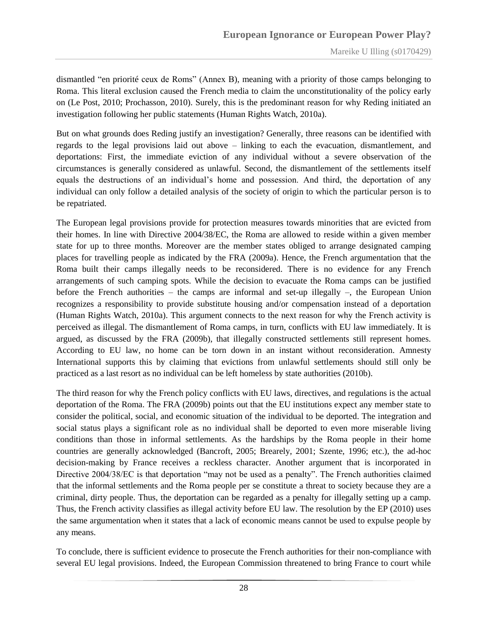dismantled "en priorité ceux de Roms" (Annex B), meaning with a priority of those camps belonging to Roma. This literal exclusion caused the French media to claim the unconstitutionality of the policy early on (Le Post, 2010; Prochasson, 2010). Surely, this is the predominant reason for why Reding initiated an investigation following her public statements (Human Rights Watch, 2010a).

But on what grounds does Reding justify an investigation? Generally, three reasons can be identified with regards to the legal provisions laid out above – linking to each the evacuation, dismantlement, and deportations: First, the immediate eviction of any individual without a severe observation of the circumstances is generally considered as unlawful. Second, the dismantlement of the settlements itself equals the destructions of an individual"s home and possession. And third, the deportation of any individual can only follow a detailed analysis of the society of origin to which the particular person is to be repatriated.

The European legal provisions provide for protection measures towards minorities that are evicted from their homes. In line with Directive 2004/38/EC, the Roma are allowed to reside within a given member state for up to three months. Moreover are the member states obliged to arrange designated camping places for travelling people as indicated by the FRA (2009a). Hence, the French argumentation that the Roma built their camps illegally needs to be reconsidered. There is no evidence for any French arrangements of such camping spots. While the decision to evacuate the Roma camps can be justified before the French authorities – the camps are informal and set-up illegally –, the European Union recognizes a responsibility to provide substitute housing and/or compensation instead of a deportation (Human Rights Watch, 2010a). This argument connects to the next reason for why the French activity is perceived as illegal. The dismantlement of Roma camps, in turn, conflicts with EU law immediately. It is argued, as discussed by the FRA (2009b), that illegally constructed settlements still represent homes. According to EU law, no home can be torn down in an instant without reconsideration. Amnesty International supports this by claiming that evictions from unlawful settlements should still only be practiced as a last resort as no individual can be left homeless by state authorities (2010b).

The third reason for why the French policy conflicts with EU laws, directives, and regulations is the actual deportation of the Roma. The FRA (2009b) points out that the EU institutions expect any member state to consider the political, social, and economic situation of the individual to be deported. The integration and social status plays a significant role as no individual shall be deported to even more miserable living conditions than those in informal settlements. As the hardships by the Roma people in their home countries are generally acknowledged (Bancroft, 2005; Brearely, 2001; Szente, 1996; etc.), the ad-hoc decision-making by France receives a reckless character. Another argument that is incorporated in Directive 2004/38/EC is that deportation "may not be used as a penalty". The French authorities claimed that the informal settlements and the Roma people per se constitute a threat to society because they are a criminal, dirty people. Thus, the deportation can be regarded as a penalty for illegally setting up a camp. Thus, the French activity classifies as illegal activity before EU law. The resolution by the EP (2010) uses the same argumentation when it states that a lack of economic means cannot be used to expulse people by any means.

To conclude, there is sufficient evidence to prosecute the French authorities for their non-compliance with several EU legal provisions. Indeed, the European Commission threatened to bring France to court while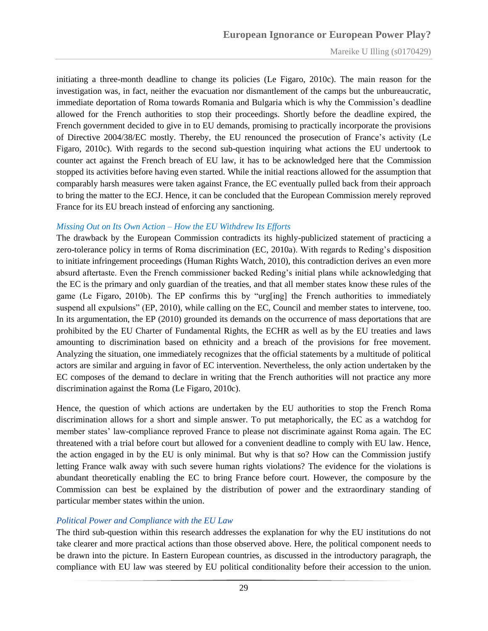initiating a three-month deadline to change its policies (Le Figaro, 2010c). The main reason for the investigation was, in fact, neither the evacuation nor dismantlement of the camps but the unbureaucratic, immediate deportation of Roma towards Romania and Bulgaria which is why the Commission"s deadline allowed for the French authorities to stop their proceedings. Shortly before the deadline expired, the French government decided to give in to EU demands, promising to practically incorporate the provisions of Directive 2004/38/EC mostly. Thereby, the EU renounced the prosecution of France"s activity (Le Figaro, 2010c). With regards to the second sub-question inquiring what actions the EU undertook to counter act against the French breach of EU law, it has to be acknowledged here that the Commission stopped its activities before having even started. While the initial reactions allowed for the assumption that comparably harsh measures were taken against France, the EC eventually pulled back from their approach to bring the matter to the ECJ. Hence, it can be concluded that the European Commission merely reproved France for its EU breach instead of enforcing any sanctioning.

#### <span id="page-28-0"></span>*Missing Out on Its Own Action – How the EU Withdrew Its Efforts*

The drawback by the European Commission contradicts its highly-publicized statement of practicing a zero-tolerance policy in terms of Roma discrimination (EC, 2010a). With regards to Reding"s disposition to initiate infringement proceedings (Human Rights Watch, 2010), this contradiction derives an even more absurd aftertaste. Even the French commissioner backed Reding"s initial plans while acknowledging that the EC is the primary and only guardian of the treaties, and that all member states know these rules of the game (Le Figaro, 2010b). The EP confirms this by "urg[ing] the French authorities to immediately suspend all expulsions" (EP, 2010), while calling on the EC, Council and member states to intervene, too. In its argumentation, the EP (2010) grounded its demands on the occurrence of mass deportations that are prohibited by the EU Charter of Fundamental Rights, the ECHR as well as by the EU treaties and laws amounting to discrimination based on ethnicity and a breach of the provisions for free movement. Analyzing the situation, one immediately recognizes that the official statements by a multitude of political actors are similar and arguing in favor of EC intervention. Nevertheless, the only action undertaken by the EC composes of the demand to declare in writing that the French authorities will not practice any more discrimination against the Roma (Le Figaro, 2010c).

Hence, the question of which actions are undertaken by the EU authorities to stop the French Roma discrimination allows for a short and simple answer. To put metaphorically, the EC as a watchdog for member states" law-compliance reproved France to please not discriminate against Roma again. The EC threatened with a trial before court but allowed for a convenient deadline to comply with EU law. Hence, the action engaged in by the EU is only minimal. But why is that so? How can the Commission justify letting France walk away with such severe human rights violations? The evidence for the violations is abundant theoretically enabling the EC to bring France before court. However, the composure by the Commission can best be explained by the distribution of power and the extraordinary standing of particular member states within the union.

#### <span id="page-28-1"></span>*Political Power and Compliance with the EU Law*

The third sub-question within this research addresses the explanation for why the EU institutions do not take clearer and more practical actions than those observed above. Here, the political component needs to be drawn into the picture. In Eastern European countries, as discussed in the introductory paragraph, the compliance with EU law was steered by EU political conditionality before their accession to the union.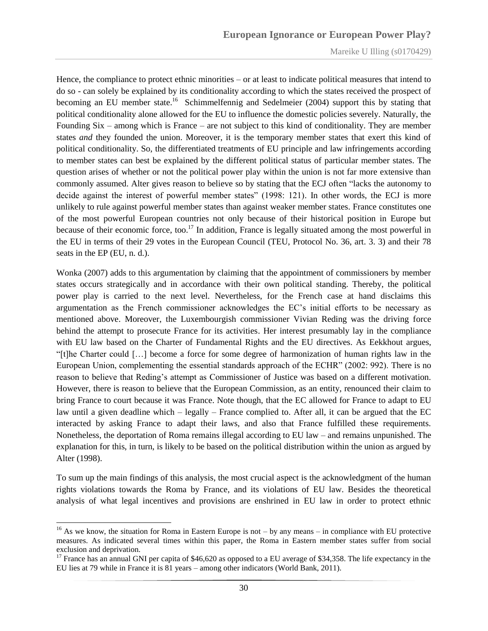Hence, the compliance to protect ethnic minorities – or at least to indicate political measures that intend to do so - can solely be explained by its conditionality according to which the states received the prospect of becoming an EU member state.<sup>16</sup> Schimmelfennig and Sedelmeier (2004) support this by stating that political conditionality alone allowed for the EU to influence the domestic policies severely. Naturally, the Founding Six – among which is France – are not subject to this kind of conditionality. They are member states *and* they founded the union. Moreover, it is the temporary member states that exert this kind of political conditionality. So, the differentiated treatments of EU principle and law infringements according to member states can best be explained by the different political status of particular member states. The question arises of whether or not the political power play within the union is not far more extensive than commonly assumed. Alter gives reason to believe so by stating that the ECJ often "lacks the autonomy to decide against the interest of powerful member states" (1998: 121). In other words, the ECJ is more unlikely to rule against powerful member states than against weaker member states. France constitutes one of the most powerful European countries not only because of their historical position in Europe but because of their economic force, too.<sup>17</sup> In addition, France is legally situated among the most powerful in the EU in terms of their 29 votes in the European Council (TEU, Protocol No. 36, art. 3. 3) and their 78 seats in the EP (EU, n. d.).

Wonka (2007) adds to this argumentation by claiming that the appointment of commissioners by member states occurs strategically and in accordance with their own political standing. Thereby, the political power play is carried to the next level. Nevertheless, for the French case at hand disclaims this argumentation as the French commissioner acknowledges the EC"s initial efforts to be necessary as mentioned above. Moreover, the Luxembourgish commissioner Vivian Reding was the driving force behind the attempt to prosecute France for its activities. Her interest presumably lay in the compliance with EU law based on the Charter of Fundamental Rights and the EU directives. As Eekkhout argues, "[t]he Charter could […] become a force for some degree of harmonization of human rights law in the European Union, complementing the essential standards approach of the ECHR" (2002: 992). There is no reason to believe that Reding"s attempt as Commissioner of Justice was based on a different motivation. However, there is reason to believe that the European Commission, as an entity, renounced their claim to bring France to court because it was France. Note though, that the EC allowed for France to adapt to EU law until a given deadline which – legally – France complied to. After all, it can be argued that the EC interacted by asking France to adapt their laws, and also that France fulfilled these requirements. Nonetheless, the deportation of Roma remains illegal according to EU law – and remains unpunished. The explanation for this, in turn, is likely to be based on the political distribution within the union as argued by Alter (1998).

To sum up the main findings of this analysis, the most crucial aspect is the acknowledgment of the human rights violations towards the Roma by France, and its violations of EU law. Besides the theoretical analysis of what legal incentives and provisions are enshrined in EU law in order to protect ethnic

<sup>&</sup>lt;sup>16</sup> As we know, the situation for Roma in Eastern Europe is not – by any means – in compliance with EU protective measures. As indicated several times within this paper, the Roma in Eastern member states suffer from social exclusion and deprivation.

<sup>&</sup>lt;sup>17</sup> France has an annual GNI per capita of \$46,620 as opposed to a EU average of \$34,358. The life expectancy in the EU lies at 79 while in France it is 81 years – among other indicators (World Bank, 2011).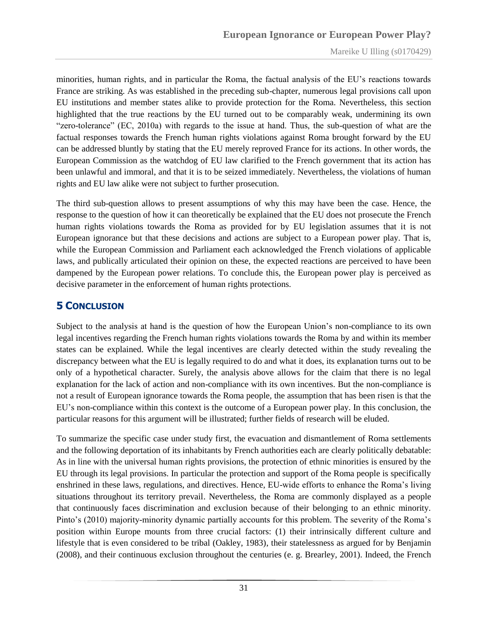minorities, human rights, and in particular the Roma, the factual analysis of the EU"s reactions towards France are striking. As was established in the preceding sub-chapter, numerous legal provisions call upon EU institutions and member states alike to provide protection for the Roma. Nevertheless, this section highlighted that the true reactions by the EU turned out to be comparably weak, undermining its own "zero-tolerance" (EC, 2010a) with regards to the issue at hand. Thus, the sub-question of what are the factual responses towards the French human rights violations against Roma brought forward by the EU can be addressed bluntly by stating that the EU merely reproved France for its actions. In other words, the European Commission as the watchdog of EU law clarified to the French government that its action has been unlawful and immoral, and that it is to be seized immediately. Nevertheless, the violations of human rights and EU law alike were not subject to further prosecution.

The third sub-question allows to present assumptions of why this may have been the case. Hence, the response to the question of how it can theoretically be explained that the EU does not prosecute the French human rights violations towards the Roma as provided for by EU legislation assumes that it is not European ignorance but that these decisions and actions are subject to a European power play. That is, while the European Commission and Parliament each acknowledged the French violations of applicable laws, and publically articulated their opinion on these, the expected reactions are perceived to have been dampened by the European power relations. To conclude this, the European power play is perceived as decisive parameter in the enforcement of human rights protections.

## <span id="page-30-0"></span>**5 CONCLUSION**

Subject to the analysis at hand is the question of how the European Union"s non-compliance to its own legal incentives regarding the French human rights violations towards the Roma by and within its member states can be explained. While the legal incentives are clearly detected within the study revealing the discrepancy between what the EU is legally required to do and what it does, its explanation turns out to be only of a hypothetical character. Surely, the analysis above allows for the claim that there is no legal explanation for the lack of action and non-compliance with its own incentives. But the non-compliance is not a result of European ignorance towards the Roma people, the assumption that has been risen is that the EU"s non-compliance within this context is the outcome of a European power play. In this conclusion, the particular reasons for this argument will be illustrated; further fields of research will be eluded.

To summarize the specific case under study first, the evacuation and dismantlement of Roma settlements and the following deportation of its inhabitants by French authorities each are clearly politically debatable: As in line with the universal human rights provisions, the protection of ethnic minorities is ensured by the EU through its legal provisions. In particular the protection and support of the Roma people is specifically enshrined in these laws, regulations, and directives. Hence, EU-wide efforts to enhance the Roma's living situations throughout its territory prevail. Nevertheless, the Roma are commonly displayed as a people that continuously faces discrimination and exclusion because of their belonging to an ethnic minority. Pinto's (2010) majority-minority dynamic partially accounts for this problem. The severity of the Roma's position within Europe mounts from three crucial factors: (1) their intrinsically different culture and lifestyle that is even considered to be tribal (Oakley, 1983), their statelessness as argued for by Benjamin (2008), and their continuous exclusion throughout the centuries (e. g. Brearley, 2001). Indeed, the French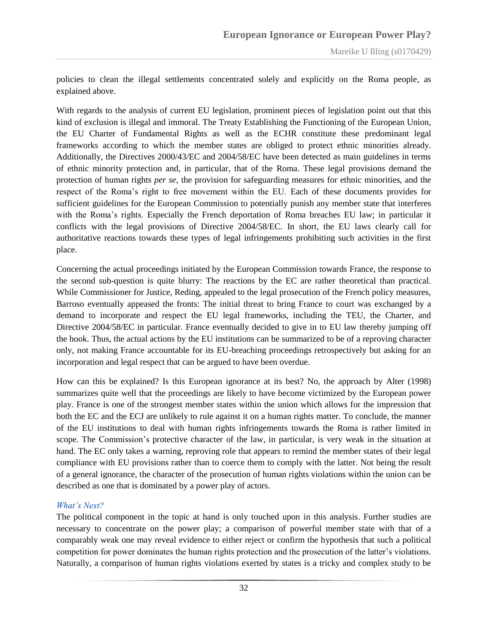policies to clean the illegal settlements concentrated solely and explicitly on the Roma people, as explained above.

With regards to the analysis of current EU legislation, prominent pieces of legislation point out that this kind of exclusion is illegal and immoral. The Treaty Establishing the Functioning of the European Union, the EU Charter of Fundamental Rights as well as the ECHR constitute these predominant legal frameworks according to which the member states are obliged to protect ethnic minorities already. Additionally, the Directives 2000/43/EC and 2004/58/EC have been detected as main guidelines in terms of ethnic minority protection and, in particular, that of the Roma. These legal provisions demand the protection of human rights *per se*, the provision for safeguarding measures for ethnic minorities, and the respect of the Roma"s right to free movement within the EU. Each of these documents provides for sufficient guidelines for the European Commission to potentially punish any member state that interferes with the Roma's rights. Especially the French deportation of Roma breaches EU law; in particular it conflicts with the legal provisions of Directive 2004/58/EC. In short, the EU laws clearly call for authoritative reactions towards these types of legal infringements prohibiting such activities in the first place.

Concerning the actual proceedings initiated by the European Commission towards France, the response to the second sub-question is quite blurry: The reactions by the EC are rather theoretical than practical. While Commissioner for Justice, Reding, appealed to the legal prosecution of the French policy measures, Barroso eventually appeased the fronts: The initial threat to bring France to court was exchanged by a demand to incorporate and respect the EU legal frameworks, including the TEU, the Charter, and Directive 2004/58/EC in particular. France eventually decided to give in to EU law thereby jumping off the hook. Thus, the actual actions by the EU institutions can be summarized to be of a reproving character only, not making France accountable for its EU-breaching proceedings retrospectively but asking for an incorporation and legal respect that can be argued to have been overdue.

How can this be explained? Is this European ignorance at its best? No, the approach by Alter (1998) summarizes quite well that the proceedings are likely to have become victimized by the European power play. France is one of the strongest member states within the union which allows for the impression that both the EC and the ECJ are unlikely to rule against it on a human rights matter. To conclude, the manner of the EU institutions to deal with human rights infringements towards the Roma is rather limited in scope. The Commission"s protective character of the law, in particular, is very weak in the situation at hand. The EC only takes a warning, reproving role that appears to remind the member states of their legal compliance with EU provisions rather than to coerce them to comply with the latter. Not being the result of a general ignorance, the character of the prosecution of human rights violations within the union can be described as one that is dominated by a power play of actors.

#### <span id="page-31-0"></span>*What's Next?*

The political component in the topic at hand is only touched upon in this analysis. Further studies are necessary to concentrate on the power play; a comparison of powerful member state with that of a comparably weak one may reveal evidence to either reject or confirm the hypothesis that such a political competition for power dominates the human rights protection and the prosecution of the latter's violations. Naturally, a comparison of human rights violations exerted by states is a tricky and complex study to be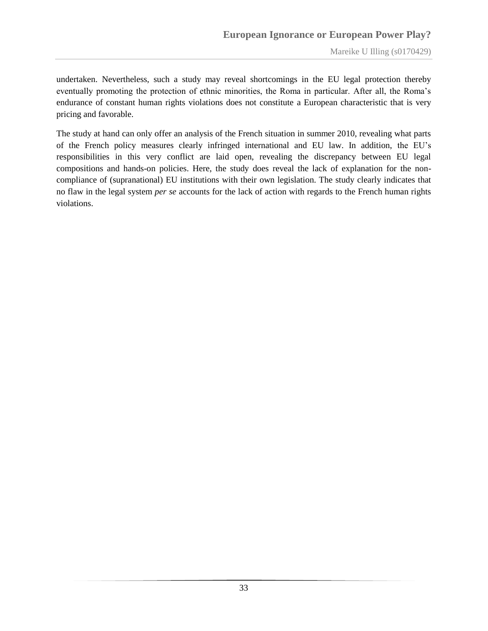undertaken. Nevertheless, such a study may reveal shortcomings in the EU legal protection thereby eventually promoting the protection of ethnic minorities, the Roma in particular. After all, the Roma"s endurance of constant human rights violations does not constitute a European characteristic that is very pricing and favorable.

The study at hand can only offer an analysis of the French situation in summer 2010, revealing what parts of the French policy measures clearly infringed international and EU law. In addition, the EU"s responsibilities in this very conflict are laid open, revealing the discrepancy between EU legal compositions and hands-on policies. Here, the study does reveal the lack of explanation for the noncompliance of (supranational) EU institutions with their own legislation. The study clearly indicates that no flaw in the legal system *per se* accounts for the lack of action with regards to the French human rights violations.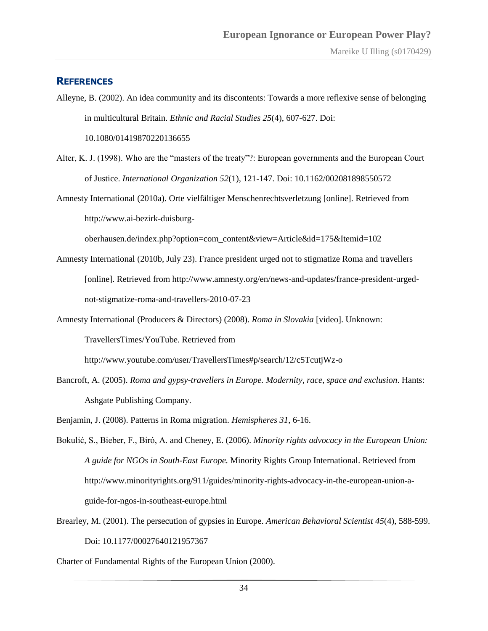#### <span id="page-33-0"></span>**REFERENCES**

Alleyne, B. (2002). An idea community and its discontents: Towards a more reflexive sense of belonging in multicultural Britain. *Ethnic and Racial Studies 25*(4), 607-627. Doi:

10.1080/01419870220136655

Alter, K. J. (1998). Who are the "masters of the treaty"?: European governments and the European Court of Justice. *International Organization 52*(1), 121-147. Doi: 10.1162/002081898550572

Amnesty International (2010a). Orte vielfältiger Menschenrechtsverletzung [online]. Retrieved from [http://www.ai-bezirk-duisburg-](http://www.ai-bezirk-duisburg-oberhausen.de/index.php?option=com_content&view=article&id=175&Itemid=102)

[oberhausen.de/index.php?option=com\\_content&view=Article&id=175&Itemid=102](http://www.ai-bezirk-duisburg-oberhausen.de/index.php?option=com_content&view=article&id=175&Itemid=102)

- Amnesty International (2010b, July 23). France president urged not to stigmatize Roma and travellers [online]. Retrieved from [http://www.amnesty.org/en/news-and-updates/france-president-urged](http://www.amnesty.org/en/news-and-updates/france-president-urged-not-stigmatize-roma-and-travellers-2010-07-23)[not-stigmatize-roma-and-travellers-2010-07-23](http://www.amnesty.org/en/news-and-updates/france-president-urged-not-stigmatize-roma-and-travellers-2010-07-23)
- Amnesty International (Producers & Directors) (2008). *Roma in Slovakia* [video]. Unknown:

TravellersTimes/YouTube. Retrieved from

<http://www.youtube.com/user/TravellersTimes#p/search/12/c5TcutjWz-o>

- Bancroft, A. (2005). *Roma and gypsy-travellers in Europe. Modernity, race, space and exclusion*. Hants: Ashgate Publishing Company.
- Benjamin, J. (2008). Patterns in Roma migration. *Hemispheres 31*, 6-16.
- Bokulić, S., Bieber, F., Biró, A. and Cheney, E. (2006). *Minority rights advocacy in the European Union: A guide for NGOs in South-East Europe.* Minority Rights Group International. Retrieved from [http://www.minorityrights.org/911/guides/minority-rights-advocacy-in-the-european-union-a](http://www.minorityrights.org/911/guides/minority-rights-advocacy-in-the-european-union-a-guide-for-ngos-in-southeast-europe.html)[guide-for-ngos-in-southeast-europe.html](http://www.minorityrights.org/911/guides/minority-rights-advocacy-in-the-european-union-a-guide-for-ngos-in-southeast-europe.html)
- Brearley, M. (2001). The persecution of gypsies in Europe. *American Behavioral Scientist 45*(4), 588-599. Doi: 10.1177/00027640121957367

Charter of Fundamental Rights of the European Union (2000).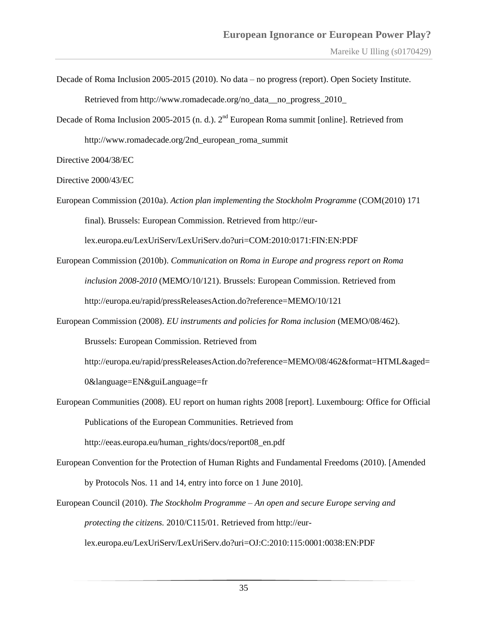- Decade of Roma Inclusion 2005-2015 (2010). No data no progress (report). Open Society Institute. Retrieved from [http://www.romadecade.org/no\\_data\\_\\_no\\_progress\\_2010\\_](http://www.romadecade.org/no_data__no_progress_2010_)
- Decade of Roma Inclusion 2005-2015 (n. d.). 2<sup>nd</sup> European Roma summit [online]. Retrieved from [http://www.romadecade.org/2nd\\_european\\_roma\\_summit](http://www.romadecade.org/2nd_european_roma_summit)

Directive 2004/38/EC

Directive 2000/43/EC

European Commission (2010a). *Action plan implementing the Stockholm Programme* (COM(2010) 171 final). Brussels: European Commission. Retrieved from [http://eur-](http://eur-lex.europa.eu/LexUriServ/LexUriServ.do?uri=COM:2010:0171:FIN:EN:PDF)

[lex.europa.eu/LexUriServ/LexUriServ.do?uri=COM:2010:0171:FIN:EN:PDF](http://eur-lex.europa.eu/LexUriServ/LexUriServ.do?uri=COM:2010:0171:FIN:EN:PDF)

- European Commission (2010b). *Communication on Roma in Europe and progress report on Roma inclusion 2008-2010* (MEMO/10/121). Brussels: European Commission. Retrieved from <http://europa.eu/rapid/pressReleasesAction.do?reference=MEMO/10/121>
- European Commission (2008). *EU instruments and policies for Roma inclusion* (MEMO/08/462).

Brussels: European Commission. Retrieved from

[http://europa.eu/rapid/pressReleasesAction.do?reference=MEMO/08/462&format=HTML&aged=](http://europa.eu/rapid/pressReleasesAction.do?reference=MEMO/08/462&format=HTML&aged=0&language=EN&guiLanguage=fr)

[0&language=EN&guiLanguage=fr](http://europa.eu/rapid/pressReleasesAction.do?reference=MEMO/08/462&format=HTML&aged=0&language=EN&guiLanguage=fr)

European Communities (2008). EU report on human rights 2008 [report]. Luxembourg: Office for Official Publications of the European Communities. Retrieved from

[http://eeas.europa.eu/human\\_rights/docs/report08\\_en.pdf](http://eeas.europa.eu/human_rights/docs/report08_en.pdf)

- European Convention for the Protection of Human Rights and Fundamental Freedoms (2010). [Amended by Protocols Nos. 11 and 14, entry into force on 1 June 2010].
- European Council (2010). *The Stockholm Programme – An open and secure Europe serving and protecting the citizens.* 2010/C115/01. Retrieved from [http://eur](http://eur-lex.europa.eu/LexUriServ/LexUriServ.do?uri=OJ:C:2010:115:0001:0038:EN:PDF)[lex.europa.eu/LexUriServ/LexUriServ.do?uri=OJ:C:2010:115:0001:0038:EN:PDF](http://eur-lex.europa.eu/LexUriServ/LexUriServ.do?uri=OJ:C:2010:115:0001:0038:EN:PDF)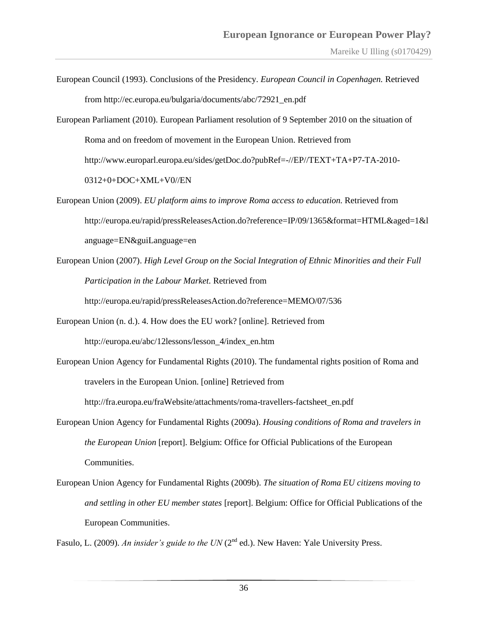- European Council (1993). Conclusions of the Presidency. *European Council in Copenhagen.* Retrieved from [http://ec.europa.eu/bulgaria/documents/abc/72921\\_en.pdf](http://ec.europa.eu/bulgaria/documents/abc/72921_en.pdf)
- European Parliament (2010). European Parliament resolution of 9 September 2010 on the situation of Roma and on freedom of movement in the European Union. Retrieved from [http://www.europarl.europa.eu/sides/getDoc.do?pubRef=-//EP//TEXT+TA+P7-TA-2010-](http://www.europarl.europa.eu/sides/getDoc.do?pubRef=-//EP//TEXT+TA+P7-TA-2010-0312+0+DOC+XML+V0//EN) [0312+0+DOC+XML+V0//EN](http://www.europarl.europa.eu/sides/getDoc.do?pubRef=-//EP//TEXT+TA+P7-TA-2010-0312+0+DOC+XML+V0//EN)
- European Union (2009). *EU platform aims to improve Roma access to education.* Retrieved from http://europa.eu/rapid/pressReleasesAction.do?reference=IP/09/1365&format=HTML&aged=1&l anguage=EN&guiLanguage=en
- European Union (2007). *High Level Group on the Social Integration of Ethnic Minorities and their Full Participation in the Labour Market.* Retrieved from

<http://europa.eu/rapid/pressReleasesAction.do?reference=MEMO/07/536>

- European Union (n. d.). 4. How does the EU work? [online]. Retrieved from [http://europa.eu/abc/12lessons/lesson\\_4/index\\_en.htm](http://europa.eu/abc/12lessons/lesson_4/index_en.htm)
- European Union Agency for Fundamental Rights (2010). The fundamental rights position of Roma and travelers in the European Union. [online] Retrieved from [http://fra.europa.eu/fraWebsite/attachments/roma-travellers-factsheet\\_en.pdf](http://fra.europa.eu/fraWebsite/attachments/roma-travellers-factsheet_en.pdf)
- European Union Agency for Fundamental Rights (2009a). *Housing conditions of Roma and travelers in the European Union* [report]. Belgium: Office for Official Publications of the European Communities.
- European Union Agency for Fundamental Rights (2009b). *The situation of Roma EU citizens moving to and settling in other EU member states* [report]. Belgium: Office for Official Publications of the European Communities.

Fasulo, L. (2009). *An insider's guide to the UN* (2<sup>nd</sup> ed.). New Haven: Yale University Press.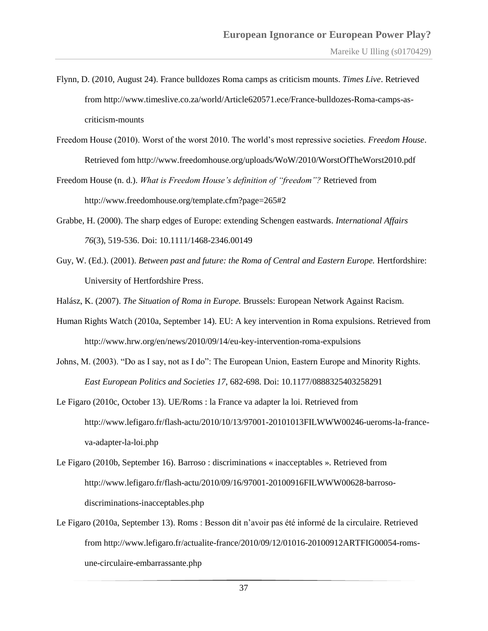- Flynn, D. (2010, August 24). France bulldozes Roma camps as criticism mounts. *Times Live*. Retrieved from [http://www.timeslive.co.za/world/Article620571.ece/France-bulldozes-Roma-camps-as](http://www.timeslive.co.za/world/article620571.ece/France-bulldozes-Roma-camps-as-criticism-mounts)[criticism-mounts](http://www.timeslive.co.za/world/article620571.ece/France-bulldozes-Roma-camps-as-criticism-mounts)
- Freedom House (2010). Worst of the worst 2010. The world"s most repressive societies. *Freedom House*. Retrieved fom<http://www.freedomhouse.org/uploads/WoW/2010/WorstOfTheWorst2010.pdf>
- Freedom House (n. d.). *What is Freedom House's definition of "freedom"?* Retrieved from <http://www.freedomhouse.org/template.cfm?page=265#2>
- Grabbe, H. (2000). The sharp edges of Europe: extending Schengen eastwards. *International Affairs 76*(3), 519-536. Doi: 10.1111/1468-2346.00149
- Guy, W. (Ed.). (2001). *Between past and future: the Roma of Central and Eastern Europe.* Hertfordshire: University of Hertfordshire Press.
- Halász, K. (2007). *The Situation of Roma in Europe.* Brussels: European Network Against Racism.
- Human Rights Watch (2010a, September 14). EU: A key intervention in Roma expulsions. Retrieved from <http://www.hrw.org/en/news/2010/09/14/eu-key-intervention-roma-expulsions>
- Johns, M. (2003). "Do as I say, not as I do": The European Union, Eastern Europe and Minority Rights. *East European Politics and Societies 17*, 682-698. Doi: 10.1177/0888325403258291
- Le Figaro (2010c, October 13). UE/Roms : la France va adapter la loi. Retrieved from [http://www.lefigaro.fr/flash-actu/2010/10/13/97001-20101013FILWWW00246-ueroms-la-france](http://www.lefigaro.fr/flash-actu/2010/10/13/97001-20101013FILWWW00246-ueroms-la-france-va-adapter-la-loi.php)[va-adapter-la-loi.php](http://www.lefigaro.fr/flash-actu/2010/10/13/97001-20101013FILWWW00246-ueroms-la-france-va-adapter-la-loi.php)
- Le Figaro (2010b, September 16). Barroso : discriminations « inacceptables ». Retrieved from [http://www.lefigaro.fr/flash-actu/2010/09/16/97001-20100916FILWWW00628-barroso](http://www.lefigaro.fr/flash-actu/2010/09/16/97001-20100916FILWWW00628-barroso-discriminations-inacceptables.php)[discriminations-inacceptables.php](http://www.lefigaro.fr/flash-actu/2010/09/16/97001-20100916FILWWW00628-barroso-discriminations-inacceptables.php)
- Le Figaro (2010a, September 13). Roms : Besson dit n"avoir pas été informé de la circulaire. Retrieved from [http://www.lefigaro.fr/actualite-france/2010/09/12/01016-20100912ARTFIG00054-roms](http://www.lefigaro.fr/actualite-france/2010/09/12/01016-20100912ARTFIG00054-roms-une-circulaire-embarrassante.php)[une-circulaire-embarrassante.php](http://www.lefigaro.fr/actualite-france/2010/09/12/01016-20100912ARTFIG00054-roms-une-circulaire-embarrassante.php)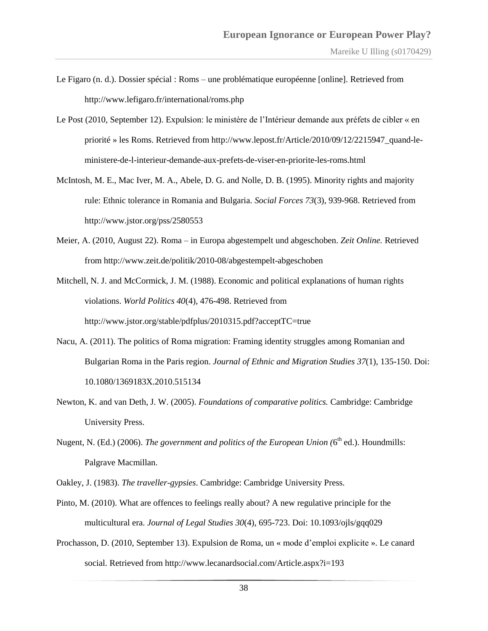- Le Figaro (n. d.). Dossier spécial : Roms une problématique européenne [online]. Retrieved from <http://www.lefigaro.fr/international/roms.php>
- Le Post (2010, September 12). Expulsion: le ministère de l"Intérieur demande aux préfets de cibler « en priorité » les Roms. Retrieved from [http://www.lepost.fr/Article/2010/09/12/2215947\\_quand-le](http://www.lepost.fr/article/2010/09/12/2215947_quand-le-ministere-de-l-interieur-demande-aux-prefets-de-viser-en-priorite-les-roms.html)[ministere-de-l-interieur-demande-aux-prefets-de-viser-en-priorite-les-roms.html](http://www.lepost.fr/article/2010/09/12/2215947_quand-le-ministere-de-l-interieur-demande-aux-prefets-de-viser-en-priorite-les-roms.html)
- McIntosh, M. E., Mac Iver, M. A., Abele, D. G. and Nolle, D. B. (1995). Minority rights and majority rule: Ethnic tolerance in Romania and Bulgaria. *Social Forces 73*(3), 939-968. Retrieved from <http://www.jstor.org/pss/2580553>
- Meier, A. (2010, August 22). Roma in Europa abgestempelt und abgeschoben. *Zeit Online.* Retrieved from<http://www.zeit.de/politik/2010-08/abgestempelt-abgeschoben>

Mitchell, N. J. and McCormick, J. M. (1988). Economic and political explanations of human rights violations. *World Politics 40*(4), 476-498. Retrieved from <http://www.jstor.org/stable/pdfplus/2010315.pdf?acceptTC=true>

- Nacu, A. (2011). The politics of Roma migration: Framing identity struggles among Romanian and Bulgarian Roma in the Paris region. *Journal of Ethnic and Migration Studies 37*(1), 135-150. Doi: 10.1080/1369183X.2010.515134
- Newton, K. and van Deth, J. W. (2005). *Foundations of comparative politics.* Cambridge: Cambridge University Press.
- Nugent, N. (Ed.) (2006). *The government and politics of the European Union* (6<sup>th</sup> ed.). Houndmills: Palgrave Macmillan.
- Oakley, J. (1983). *The traveller-gypsies*. Cambridge: Cambridge University Press.
- Pinto, M. (2010). What are offences to feelings really about? A new regulative principle for the multicultural era. *Journal of Legal Studies 30*(4), 695-723. Doi: 10.1093/ojls/gqq029
- Prochasson, D. (2010, September 13). Expulsion de Roma, un « mode d"emploi explicite ». Le canard social. Retrieved from<http://www.lecanardsocial.com/Article.aspx?i=193>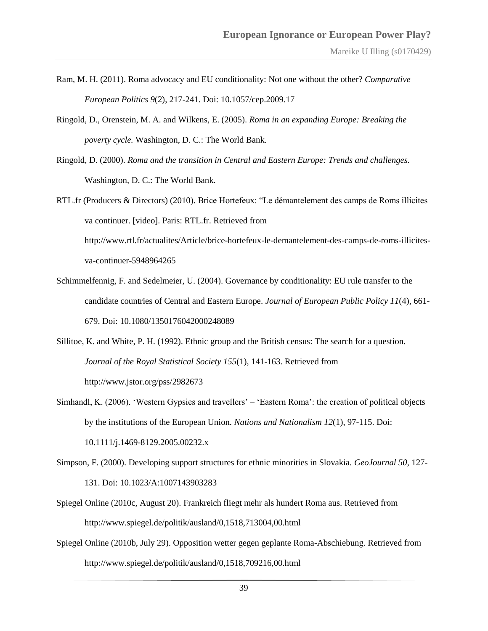- Ram, M. H. (2011). Roma advocacy and EU conditionality: Not one without the other? *Comparative European Politics 9*(2), 217-241. Doi: 10.1057/cep.2009.17
- Ringold, D., Orenstein, M. A. and Wilkens, E. (2005). *Roma in an expanding Europe: Breaking the poverty cycle.* Washington, D. C.: The World Bank*.*
- Ringold, D. (2000). *Roma and the transition in Central and Eastern Europe: Trends and challenges.*  Washington, D. C.: The World Bank.
- RTL.fr (Producers & Directors) (2010). Brice Hortefeux: "Le démantelement des camps de Roms illicites va continuer. [video]. Paris: RTL.fr. Retrieved from

[http://www.rtl.fr/actualites/Article/brice-hortefeux-le-demantelement-des-camps-de-roms-illicites](http://www.rtl.fr/actualites/article/brice-hortefeux-le-demantelement-des-camps-de-roms-illicites-va-continuer-5948964265)[va-continuer-5948964265](http://www.rtl.fr/actualites/article/brice-hortefeux-le-demantelement-des-camps-de-roms-illicites-va-continuer-5948964265)

- Schimmelfennig, F. and Sedelmeier, U. (2004). Governance by conditionality: EU rule transfer to the candidate countries of Central and Eastern Europe. *Journal of European Public Policy 11*(4), 661- 679. Doi: 10.1080/1350176042000248089
- Sillitoe, K. and White, P. H. (1992). Ethnic group and the British census: The search for a question. *Journal of the Royal Statistical Society 155*(1), 141-163. Retrieved from <http://www.jstor.org/pss/2982673>
- Simhandl, K. (2006). "Western Gypsies and travellers" "Eastern Roma": the creation of political objects by the institutions of the European Union. *Nations and Nationalism 12*(1), 97-115. Doi: 10.1111/j.1469-8129.2005.00232.x
- Simpson, F. (2000). Developing support structures for ethnic minorities in Slovakia. *GeoJournal 50*, 127- 131. Doi: 10.1023/A:1007143903283
- Spiegel Online (2010c, August 20). Frankreich fliegt mehr als hundert Roma aus. Retrieved from <http://www.spiegel.de/politik/ausland/0,1518,713004,00.html>
- Spiegel Online (2010b, July 29). Opposition wetter gegen geplante Roma-Abschiebung. Retrieved from <http://www.spiegel.de/politik/ausland/0,1518,709216,00.html>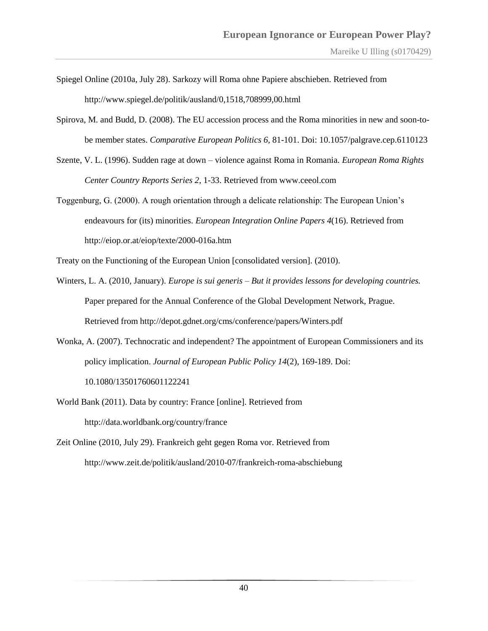- Spiegel Online (2010a, July 28). Sarkozy will Roma ohne Papiere abschieben. Retrieved from <http://www.spiegel.de/politik/ausland/0,1518,708999,00.html>
- Spirova, M. and Budd, D. (2008). The EU accession process and the Roma minorities in new and soon-tobe member states. *Comparative European Politics 6*, 81-101. Doi: 10.1057/palgrave.cep.6110123
- Szente, V. L. (1996). Sudden rage at down violence against Roma in Romania. *European Roma Rights Center Country Reports Series 2*, 1-33. Retrieved from www.ceeol.com
- Toggenburg, G. (2000). A rough orientation through a delicate relationship: The European Union"s endeavours for (its) minorities. *European Integration Online Papers 4*(16). Retrieved from <http://eiop.or.at/eiop/texte/2000-016a.htm>

Treaty on the Functioning of the European Union [consolidated version]. (2010).

- Winters, L. A. (2010, January). *Europe is sui generis – But it provides lessons for developing countries.* Paper prepared for the Annual Conference of the Global Development Network, Prague. Retrieved from<http://depot.gdnet.org/cms/conference/papers/Winters.pdf>
- Wonka, A. (2007). Technocratic and independent? The appointment of European Commissioners and its policy implication. *Journal of European Public Policy 14*(2), 169-189. Doi: 10.1080/13501760601122241
- World Bank (2011). Data by country: France [online]. Retrieved from <http://data.worldbank.org/country/france>
- Zeit Online (2010, July 29). Frankreich geht gegen Roma vor. Retrieved from <http://www.zeit.de/politik/ausland/2010-07/frankreich-roma-abschiebung>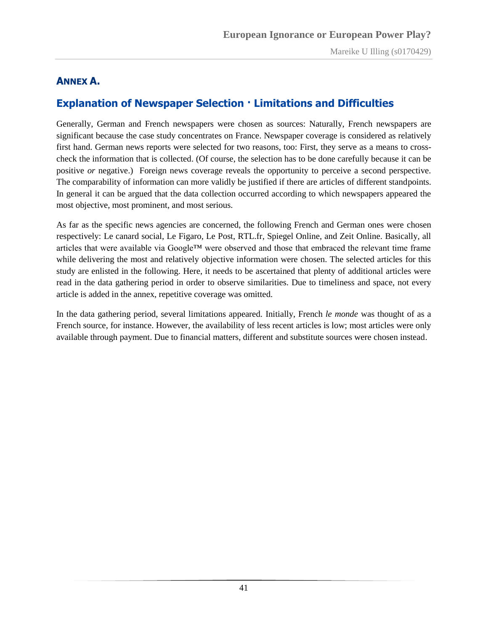#### <span id="page-40-0"></span>**ANNEX A.**

## <span id="page-40-1"></span>**Explanation of Newspaper Selection · Limitations and Difficulties**

Generally, German and French newspapers were chosen as sources: Naturally, French newspapers are significant because the case study concentrates on France. Newspaper coverage is considered as relatively first hand. German news reports were selected for two reasons, too: First, they serve as a means to crosscheck the information that is collected. (Of course, the selection has to be done carefully because it can be positive *or* negative.) Foreign news coverage reveals the opportunity to perceive a second perspective. The comparability of information can more validly be justified if there are articles of different standpoints. In general it can be argued that the data collection occurred according to which newspapers appeared the most objective, most prominent, and most serious.

As far as the specific news agencies are concerned, the following French and German ones were chosen respectively: Le canard social, Le Figaro, Le Post, RTL.fr, Spiegel Online, and Zeit Online. Basically, all articles that were available via Google™ were observed and those that embraced the relevant time frame while delivering the most and relatively objective information were chosen. The selected articles for this study are enlisted in the following. Here, it needs to be ascertained that plenty of additional articles were read in the data gathering period in order to observe similarities. Due to timeliness and space, not every article is added in the annex, repetitive coverage was omitted.

In the data gathering period, several limitations appeared. Initially, French *le monde* was thought of as a French source, for instance. However, the availability of less recent articles is low; most articles were only available through payment. Due to financial matters, different and substitute sources were chosen instead.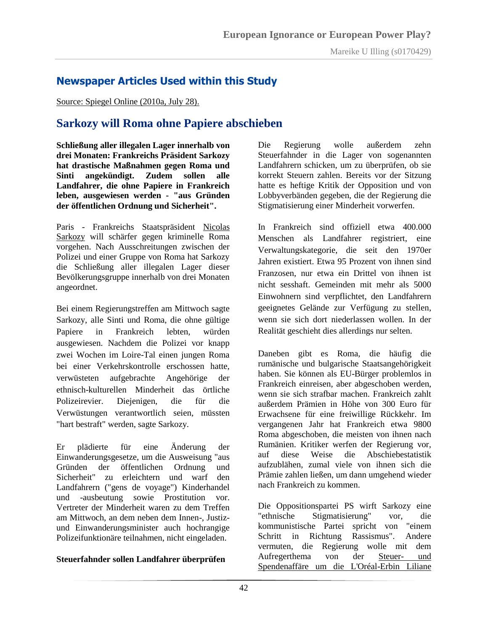## <span id="page-41-0"></span>**Newspaper Articles Used within this Study**

Source: Spiegel Online (2010a, July 28).

## **Sarkozy will Roma ohne Papiere abschieben**

**Schließung aller illegalen Lager innerhalb von drei Monaten: Frankreichs Präsident Sarkozy hat drastische Maßnahmen gegen Roma und Sinti angekündigt. Zudem sollen alle Landfahrer, die ohne Papiere in Frankreich leben, ausgewiesen werden - "aus Gründen der öffentlichen Ordnung und Sicherheit".**

Paris - Frankreichs Staatspräsident [Nicolas](http://www.spiegel.de/thema/nicolas_sarkozy/)  [Sarkozy](http://www.spiegel.de/thema/nicolas_sarkozy/) will schärfer gegen kriminelle Roma vorgehen. Nach Ausschreitungen zwischen der Polizei und einer Gruppe von Roma hat Sarkozy die Schließung aller illegalen Lager dieser Bevölkerungsgruppe innerhalb von drei Monaten angeordnet.

Bei einem Regierungstreffen am Mittwoch sagte Sarkozy, alle Sinti und Roma, die ohne gültige Papiere in Frankreich lebten, würden ausgewiesen. Nachdem die Polizei vor knapp zwei Wochen im Loire-Tal einen jungen Roma bei einer Verkehrskontrolle erschossen hatte, verwüsteten aufgebrachte Angehörige der ethnisch-kulturellen Minderheit das örtliche Polizeirevier. Diejenigen, die für die Verwüstungen verantwortlich seien, müssten "hart bestraft" werden, sagte Sarkozy.

Er plädierte für eine Änderung der Einwanderungsgesetze, um die Ausweisung "aus Gründen der öffentlichen Ordnung und Sicherheit" zu erleichtern und warf den Landfahrern ("gens de voyage") Kinderhandel und -ausbeutung sowie Prostitution vor. Vertreter der Minderheit waren zu dem Treffen am Mittwoch, an dem neben dem Innen-, Justizund Einwanderungsminister auch hochrangige Polizeifunktionäre teilnahmen, nicht eingeladen.

#### **Steuerfahnder sollen Landfahrer überprüfen**

Die Regierung wolle außerdem zehn Steuerfahnder in die Lager von sogenannten Landfahrern schicken, um zu überprüfen, ob sie korrekt Steuern zahlen. Bereits vor der Sitzung hatte es heftige Kritik der Opposition und von Lobbyverbänden gegeben, die der Regierung die Stigmatisierung einer Minderheit vorwerfen.

In Frankreich sind offiziell etwa 400.000 Menschen als Landfahrer registriert, eine Verwaltungskategorie, die seit den 1970er Jahren existiert. Etwa 95 Prozent von ihnen sind Franzosen, nur etwa ein Drittel von ihnen ist nicht sesshaft. Gemeinden mit mehr als 5000 Einwohnern sind verpflichtet, den Landfahrern geeignetes Gelände zur Verfügung zu stellen, wenn sie sich dort niederlassen wollen. In der Realität geschieht dies allerdings nur selten.

Daneben gibt es Roma, die häufig die rumänische und bulgarische Staatsangehörigkeit haben. Sie können als EU-Bürger problemlos in Frankreich einreisen, aber abgeschoben werden, wenn sie sich strafbar machen. Frankreich zahlt außerdem Prämien in Höhe von 300 Euro für Erwachsene für eine freiwillige Rückkehr. Im vergangenen Jahr hat Frankreich etwa 9800 Roma abgeschoben, die meisten von ihnen nach Rumänien. Kritiker werfen der Regierung vor, auf diese Weise die Abschiebestatistik aufzublähen, zumal viele von ihnen sich die Prämie zahlen ließen, um dann umgehend wieder nach Frankreich zu kommen.

Die Oppositionspartei PS wirft Sarkozy eine "ethnische Stigmatisierung" vor, die kommunistische Partei spricht von "einem Schritt in Richtung Rassismus". Andere vermuten, die Regierung wolle mit dem Aufregerthema von der [Steuer-](http://www.spiegel.de/politik/ausland/0,1518,706925,00.html) und [Spendenaffäre um die L'Oréal-Erbin Liliane](http://www.spiegel.de/politik/ausland/0,1518,706925,00.html)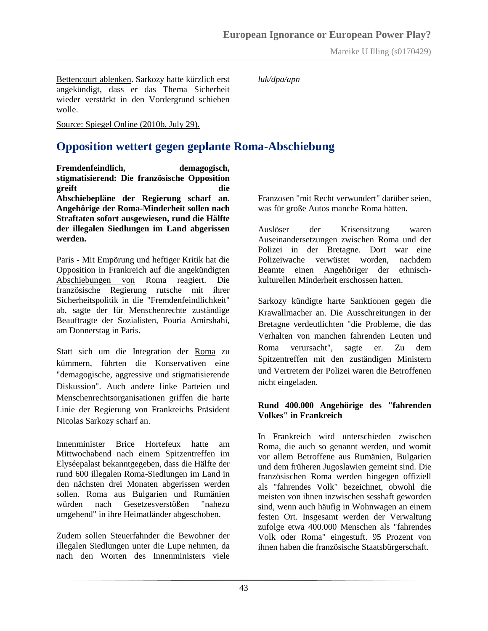Bettencourt ablenken. Sarkozy hatte kürzlich erst angekündigt, dass er das Thema Sicherheit wieder verstärkt in den Vordergrund schieben wolle.

*luk/dpa/apn*

Source: Spiegel Online (2010b, July 29).

## **Opposition wettert gegen geplante Roma-Abschiebung**

**Fremdenfeindlich, demagogisch, stigmatisierend: Die französische Opposition greift die Abschiebepläne der Regierung scharf an. Angehörige der Roma-Minderheit sollen nach Straftaten sofort ausgewiesen, rund die Hälfte der illegalen Siedlungen im Land abgerissen werden.**

Paris - Mit Empörung und heftiger Kritik hat die Opposition in [Frankreich](http://www.spiegel.de/thema/frankreich/) auf die [angekündigten](http://www.spiegel.de/politik/ausland/0,1518,708999,00.html)  [Abschiebungen von](http://www.spiegel.de/politik/ausland/0,1518,708999,00.html) Roma reagiert. Die französische Regierung rutsche mit ihrer Sicherheitspolitik in die "Fremdenfeindlichkeit" ab, sagte der für Menschenrechte zuständige Beauftragte der Sozialisten, Pouria Amirshahi, am Donnerstag in Paris.

Statt sich um die Integration der [Roma](http://www.spiegel.de/thema/sinti_und_roma/) zu kümmern, führten die Konservativen eine "demagogische, aggressive und stigmatisierende Diskussion". Auch andere linke Parteien und Menschenrechtsorganisationen griffen die harte Linie der Regierung von Frankreichs Präsident [Nicolas Sarkozy](http://www.spiegel.de/thema/nicolas_sarkozy/) scharf an.

Innenminister Brice Hortefeux hatte am Mittwochabend nach einem Spitzentreffen im Elyséepalast bekanntgegeben, dass die Hälfte der rund 600 illegalen Roma-Siedlungen im Land in den nächsten drei Monaten abgerissen werden sollen. Roma aus Bulgarien und Rumänien würden nach Gesetzesverstößen "nahezu umgehend" in ihre Heimatländer abgeschoben.

Zudem sollen Steuerfahnder die Bewohner der illegalen Siedlungen unter die Lupe nehmen, da nach den Worten des Innenministers viele

Franzosen "mit Recht verwundert" darüber seien, was für große Autos manche Roma hätten.

Auslöser der Krisensitzung waren Auseinandersetzungen zwischen Roma und der Polizei in der Bretagne. Dort war eine Polizeiwache verwüstet worden, nachdem Beamte einen Angehöriger der ethnischkulturellen Minderheit erschossen hatten.

Sarkozy kündigte harte Sanktionen gegen die Krawallmacher an. Die Ausschreitungen in der Bretagne verdeutlichten "die Probleme, die das Verhalten von manchen fahrenden Leuten und Roma verursacht", sagte er. Zu dem Spitzentreffen mit den zuständigen Ministern und Vertretern der Polizei waren die Betroffenen nicht eingeladen.

#### **Rund 400.000 Angehörige des "fahrenden Volkes" in Frankreich**

In Frankreich wird unterschieden zwischen Roma, die auch so genannt werden, und womit vor allem Betroffene aus Rumänien, Bulgarien und dem früheren Jugoslawien gemeint sind. Die französischen Roma werden hingegen offiziell als "fahrendes Volk" bezeichnet, obwohl die meisten von ihnen inzwischen sesshaft geworden sind, wenn auch häufig in Wohnwagen an einem festen Ort. Insgesamt werden der Verwaltung zufolge etwa 400.000 Menschen als "fahrendes Volk oder Roma" eingestuft. 95 Prozent von ihnen haben die französische Staatsbürgerschaft.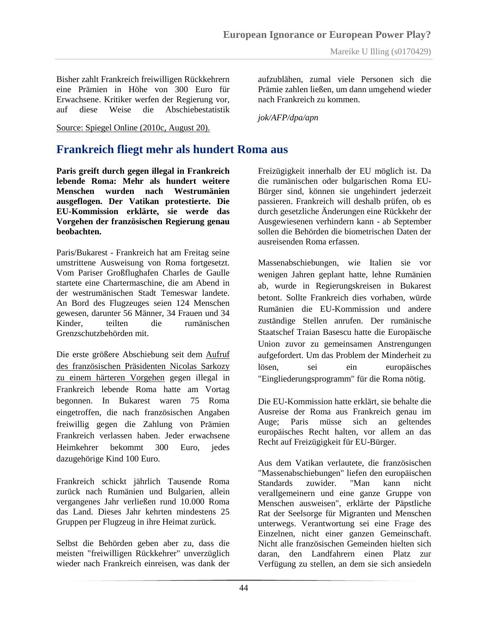Bisher zahlt Frankreich freiwilligen Rückkehrern eine Prämien in Höhe von 300 Euro für Erwachsene. Kritiker werfen der Regierung vor, auf diese Weise die Abschiebestatistik

Source: Spiegel Online (2010c, August 20).

aufzublähen, zumal viele Personen sich die Prämie zahlen ließen, um dann umgehend wieder nach Frankreich zu kommen.

*jok/AFP/dpa/apn*

## **Frankreich fliegt mehr als hundert Roma aus**

**Paris greift durch gegen illegal in Frankreich lebende Roma: Mehr als hundert weitere Menschen wurden nach Westrumänien ausgeflogen. Der Vatikan protestierte. Die EU-Kommission erklärte, sie werde das Vorgehen der französischen Regierung genau beobachten.**

Paris/Bukarest - Frankreich hat am Freitag seine umstrittene Ausweisung von Roma fortgesetzt. Vom Pariser Großflughafen Charles de Gaulle startete eine Chartermaschine, die am Abend in der westrumänischen Stadt Temeswar landete. An Bord des Flugzeuges seien 124 Menschen gewesen, darunter 56 Männer, 34 Frauen und 34 Kinder, teilten die rumänischen Grenzschutzbehörden mit.

Die erste größere Abschiebung seit dem [Aufruf](http://www.spiegel.de/politik/ausland/0,1518,712377,00.html)  [des französischen Präsidenten Nicolas Sarkozy](http://www.spiegel.de/politik/ausland/0,1518,712377,00.html)  [zu einem härteren Vorgehen](http://www.spiegel.de/politik/ausland/0,1518,712377,00.html) gegen illegal in Frankreich lebende Roma hatte am Vortag begonnen. In Bukarest waren 75 Roma eingetroffen, die nach französischen Angaben freiwillig gegen die Zahlung von Prämien Frankreich verlassen haben. Jeder erwachsene Heimkehrer bekommt 300 Euro, jedes dazugehörige Kind 100 Euro.

Frankreich schickt jährlich Tausende Roma zurück nach Rumänien und Bulgarien, allein vergangenes Jahr verließen rund 10.000 Roma das Land. Dieses Jahr kehrten mindestens 25 Gruppen per Flugzeug in ihre Heimat zurück.

Selbst die Behörden geben aber zu, dass die meisten "freiwilligen Rückkehrer" unverzüglich wieder nach Frankreich einreisen, was dank der Freizügigkeit innerhalb der EU möglich ist. Da die rumänischen oder bulgarischen Roma EU-Bürger sind, können sie ungehindert jederzeit passieren. Frankreich will deshalb prüfen, ob es durch gesetzliche Änderungen eine Rückkehr der Ausgewiesenen verhindern kann - ab September sollen die Behörden die biometrischen Daten der ausreisenden Roma erfassen.

Massenabschiebungen, wie Italien sie vor wenigen Jahren geplant hatte, lehne Rumänien ab, wurde in Regierungskreisen in Bukarest betont. Sollte Frankreich dies vorhaben, würde Rumänien die EU-Kommission und andere zuständige Stellen anrufen. Der rumänische Staatschef Traian Basescu hatte die Europäische Union zuvor zu gemeinsamen Anstrengungen aufgefordert. Um das Problem der Minderheit zu lösen, sei ein europäisches "Eingliederungsprogramm" für die Roma nötig.

Die EU-Kommission hatte erklärt, sie behalte die Ausreise der Roma aus Frankreich genau im Auge; Paris müsse sich an geltendes europäisches Recht halten, vor allem an das Recht auf Freizügigkeit für EU-Bürger.

Aus dem Vatikan verlautete, die französischen "Massenabschiebungen" liefen den europäischen Standards zuwider. "Man kann nicht verallgemeinern und eine ganze Gruppe von Menschen ausweisen", erklärte der Päpstliche Rat der Seelsorge für Migranten und Menschen unterwegs. Verantwortung sei eine Frage des Einzelnen, nicht einer ganzen Gemeinschaft. Nicht alle französischen Gemeinden hielten sich daran, den Landfahrern einen Platz zur Verfügung zu stellen, an dem sie sich ansiedeln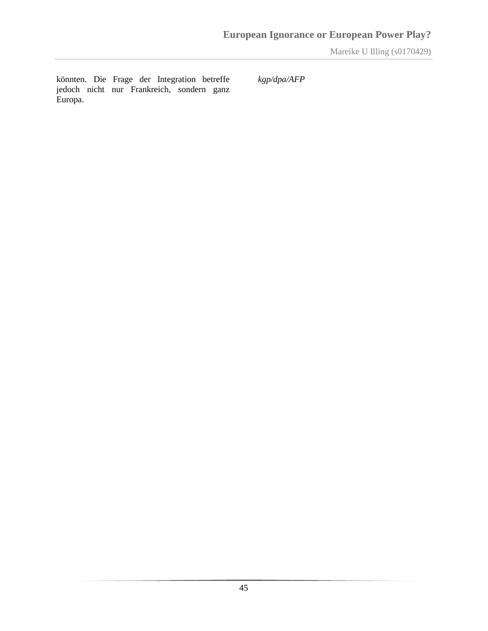könnten. Die Frage der Integration betreffe jedoch nicht nur Frankreich, sondern ganz Europa.

*kgp/dpa/AFP*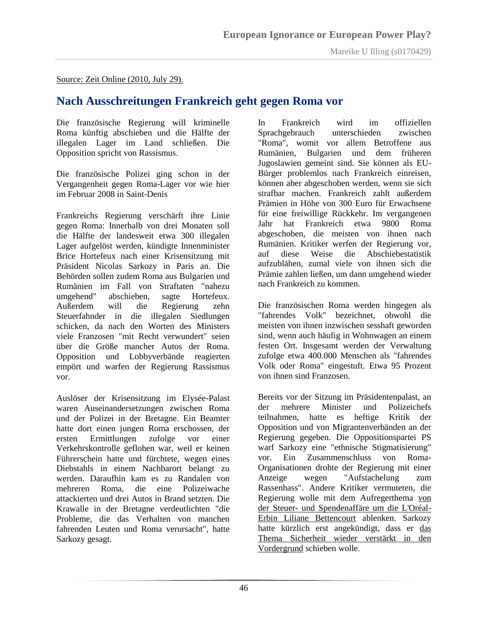Source: Zeit Online (2010, July 29).

## **Nach Ausschreitungen Frankreich geht gegen Roma vor**

Die französische Regierung will kriminelle Roma künftig abschieben und die Hälfte der illegalen Lager im Land schließen. Die Opposition spricht von Rassismus.

Die französische Polizei ging schon in der Vergangenheit gegen Roma-Lager vor wie hier im Februar 2008 in Saint-Denis

Frankreichs Regierung verschärft ihre Linie gegen Roma: Innerhalb von drei Monaten soll die Hälfte der landesweit etwa 300 illegalen Lager aufgelöst werden, kündigte Innenminister Brice Hortefeux nach einer Krisensitzung mit Präsident Nicolas Sarkozy in Paris an. Die Behörden sollen zudem Roma aus Bulgarien und Rumänien im Fall von Straftaten "nahezu umgehend" abschieben, sagte Hortefeux. Außerdem will die Regierung zehn Steuerfahnder in die illegalen Siedlungen schicken, da nach den Worten des Ministers viele Franzosen "mit Recht verwundert" seien über die Größe mancher Autos der Roma. Opposition und Lobbyverbände reagierten empört und warfen der Regierung Rassismus vor.

Auslöser der Krisensitzung im Elysée-Palast waren Auseinandersetzungen zwischen Roma und der Polizei in der Bretagne. Ein Beamter hatte dort einen jungen Roma erschossen, der ersten Ermittlungen zufolge vor einer Verkehrskontrolle geflohen war, weil er keinen Führerschein hatte und fürchtete, wegen eines Diebstahls in einem Nachbarort belangt zu werden. Daraufhin kam es zu Randalen von mehreren Roma, die eine Polizeiwache attackierten und drei Autos in Brand setzten. Die Krawalle in der Bretagne verdeutlichten "die Probleme, die das Verhalten von manchen fahrenden Leuten und Roma verursacht", hatte Sarkozy gesagt.

In Frankreich wird im offiziellen Sprachgebrauch unterschieden zwischen "Roma", womit vor allem Betroffene aus Rumänien, Bulgarien und dem früheren Jugoslawien gemeint sind. Sie können als EU-Bürger problemlos nach Frankreich einreisen, können aber abgeschoben werden, wenn sie sich strafbar machen. Frankreich zahlt außerdem Prämien in Höhe von 300 Euro für Erwachsene für eine freiwillige Rückkehr. Im vergangenen Jahr hat Frankreich etwa 9800 Roma abgeschoben, die meisten von ihnen nach Rumänien. Kritiker werfen der Regierung vor, auf diese Weise die Abschiebestatistik aufzublähen, zumal viele von ihnen sich die Prämie zahlen ließen, um dann umgehend wieder nach Frankreich zu kommen.

Die französischen Roma werden hingegen als "fahrendes Volk" bezeichnet, obwohl die meisten von ihnen inzwischen sesshaft geworden sind, wenn auch häufig in Wohnwagen an einem festen Ort. Insgesamt werden der Verwaltung zufolge etwa 400.000 Menschen als "fahrendes Volk oder Roma" eingestuft. Etwa 95 Prozent von ihnen sind Franzosen.

Bereits vor der Sitzung im Präsidentenpalast, an der mehrere Minister und Polizeichefs teilnahmen, hatte es heftige Kritik der Opposition und von Migrantenverbänden an der Regierung gegeben. Die Oppositionspartei PS warf Sarkozy eine "ethnische Stigmatisierung" vor. Ein Zusammenschluss von Roma-Organisationen drohte der Regierung mit einer Anzeige wegen "Aufstachelung zum Rassenhass". Andere Kritiker vermuteten, die Regierung wolle mit dem Aufregerthema [von](http://www.zeit.de/politik/ausland/2010-07/sarkozy-spendenskandal-bettencourt)  der Steuer- [und Spendenaffäre um die L'Oréal-](http://www.zeit.de/politik/ausland/2010-07/sarkozy-spendenskandal-bettencourt)[Erbin Liliane Bettencourt](http://www.zeit.de/politik/ausland/2010-07/sarkozy-spendenskandal-bettencourt) ablenken. Sarkozy hatte kürzlich erst angekündigt, dass er [das](http://www.zeit.de/politik/ausland/2010-07/sarkozy-ausschreitungen-krieg)  [Thema Sicherheit wieder verstärkt in den](http://www.zeit.de/politik/ausland/2010-07/sarkozy-ausschreitungen-krieg)  [Vordergrund](http://www.zeit.de/politik/ausland/2010-07/sarkozy-ausschreitungen-krieg) schieben wolle.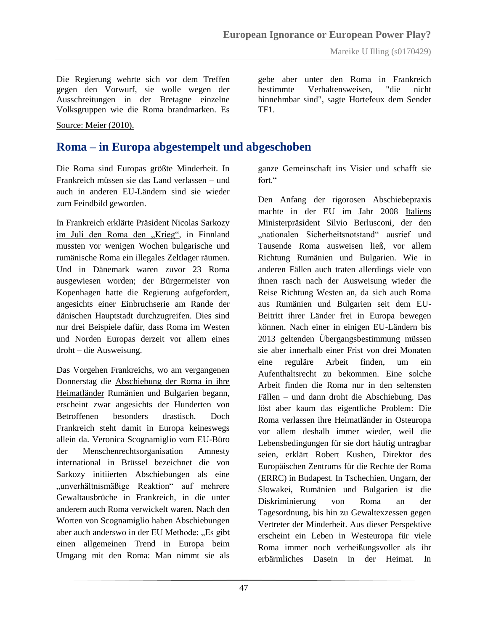Die Regierung wehrte sich vor dem Treffen gegen den Vorwurf, sie wolle wegen der Ausschreitungen in der Bretagne einzelne Volksgruppen wie die Roma brandmarken. Es

Source: Meier (2010).

## **Roma – in Europa abgestempelt und abgeschoben**

Die Roma sind Europas größte Minderheit. In Frankreich müssen sie das Land verlassen – und auch in anderen EU-Ländern sind sie wieder zum Feindbild geworden.

In Frankreich [erklärte Präsident Nicolas Sarkozy](http://www.zeit.de/politik/ausland/2010-07/frankreich-roma-abschiebung)  [im Juli den Roma den "Krieg",](http://www.zeit.de/politik/ausland/2010-07/frankreich-roma-abschiebung) in Finnland mussten vor wenigen Wochen bulgarische und rumänische Roma ein illegales Zeltlager räumen. Und in Dänemark waren zuvor 23 Roma ausgewiesen worden; der Bürgermeister von Kopenhagen hatte die Regierung aufgefordert, angesichts einer Einbruchserie am Rande der dänischen Hauptstadt durchzugreifen. Dies sind nur drei Beispiele dafür, dass Roma im Westen und Norden Europas derzeit vor allem eines droht – die Ausweisung.

Das Vorgehen Frankreichs, wo am vergangenen Donnerstag die [Abschiebung der Roma in ihre](http://www.zeit.de/politik/ausland/2010-08/roma-frankreich-abschiebung-2)  [Heimatländer](http://www.zeit.de/politik/ausland/2010-08/roma-frankreich-abschiebung-2) Rumänien und Bulgarien begann, erscheint zwar angesichts der Hunderten von Betroffenen besonders drastisch. Doch Frankreich steht damit in Europa keineswegs allein da. Veronica Scognamiglio vom EU-Büro der Menschenrechtsorganisation Amnesty international in Brüssel bezeichnet die von Sarkozy initiierten Abschiebungen als eine "unverhältnismäßige Reaktion" auf mehrere Gewaltausbrüche in Frankreich, in die unter anderem auch Roma verwickelt waren. Nach den Worten von Scognamiglio haben Abschiebungen aber auch anderswo in der EU Methode: "Es gibt einen allgemeinen Trend in Europa beim Umgang mit den Roma: Man nimmt sie als

gebe aber unter den Roma in Frankreich bestimmte Verhaltensweisen, "die nicht hinnehmbar sind", sagte Hortefeux dem Sender TF1.

ganze Gemeinschaft ins Visier und schafft sie fort<sup>"</sup>

Den Anfang der rigorosen Abschiebepraxis machte in der EU im Jahr 2008 [Italiens](http://www.zeit.de/2008/22/Berlusconi-watch_2)  [Ministerpräsident Silvio Berlusconi,](http://www.zeit.de/2008/22/Berlusconi-watch_2) der den "nationalen Sicherheitsnotstand" ausrief und Tausende Roma ausweisen ließ, vor allem Richtung Rumänien und Bulgarien. Wie in anderen Fällen auch traten allerdings viele von ihnen rasch nach der Ausweisung wieder die Reise Richtung Westen an, da sich auch Roma aus Rumänien und Bulgarien seit dem EU-Beitritt ihrer Länder frei in Europa bewegen können. Nach einer in einigen EU-Ländern bis 2013 geltenden Übergangsbestimmung müssen sie aber innerhalb einer Frist von drei Monaten eine reguläre Arbeit finden, um ein Aufenthaltsrecht zu bekommen. Eine solche Arbeit finden die Roma nur in den seltensten Fällen – und dann droht die Abschiebung. Das löst aber kaum das eigentliche Problem: Die Roma verlassen ihre Heimatländer in Osteuropa vor allem deshalb immer wieder, weil die Lebensbedingungen für sie dort häufig untragbar seien, erklärt Robert Kushen, Direktor des Europäischen Zentrums für die Rechte der Roma (ERRC) in Budapest. In Tschechien, Ungarn, der Slowakei, Rumänien und Bulgarien ist die Diskriminierung von Roma an der Tagesordnung, bis hin zu Gewaltexzessen gegen Vertreter der Minderheit. Aus dieser Perspektive erscheint ein Leben in Westeuropa für viele Roma immer noch verheißungsvoller als ihr erbärmliches Dasein in der Heimat. In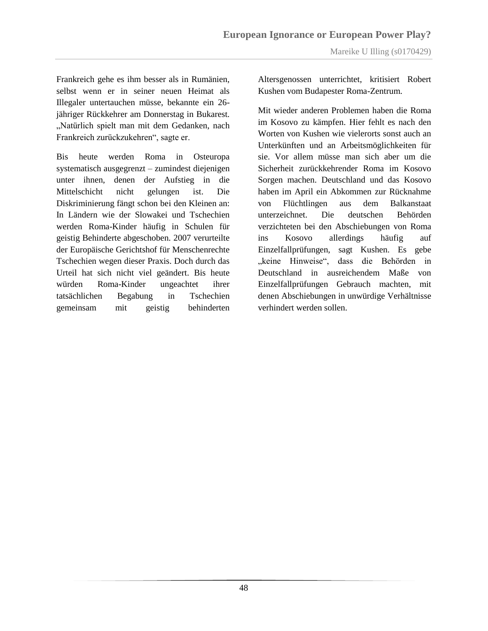Frankreich gehe es ihm besser als in Rumänien, selbst wenn er in seiner neuen Heimat als Illegaler untertauchen müsse, bekannte ein 26 jähriger Rückkehrer am Donnerstag in Bukarest. "Natürlich spielt man mit dem Gedanken, nach Frankreich zurückzukehren", sagte er.

Bis heute werden Roma in Osteuropa systematisch ausgegrenzt – zumindest diejenigen unter ihnen, denen der Aufstieg in die Mittelschicht nicht gelungen ist. Die Diskriminierung fängt schon bei den Kleinen an: In Ländern wie der Slowakei und Tschechien werden Roma-Kinder häufig in Schulen für geistig Behinderte abgeschoben. 2007 verurteilte der Europäische Gerichtshof für Menschenrechte Tschechien wegen dieser Praxis. Doch durch das Urteil hat sich nicht viel geändert. Bis heute würden Roma-Kinder ungeachtet ihrer tatsächlichen Begabung in Tschechien gemeinsam mit geistig behinderten

Altersgenossen unterrichtet, kritisiert Robert Kushen vom Budapester Roma-Zentrum.

Mit wieder anderen Problemen haben die Roma im Kosovo zu kämpfen. Hier fehlt es nach den Worten von Kushen wie vielerorts sonst auch an Unterkünften und an Arbeitsmöglichkeiten für sie. Vor allem müsse man sich aber um die Sicherheit zurückkehrender Roma im Kosovo Sorgen machen. Deutschland und das Kosovo haben im April ein Abkommen zur Rücknahme von Flüchtlingen aus dem Balkanstaat unterzeichnet. Die deutschen Behörden verzichteten bei den Abschiebungen von Roma ins Kosovo allerdings häufig auf Einzelfallprüfungen, sagt Kushen. Es gebe "keine Hinweise", dass die Behörden in Deutschland in ausreichendem Maße von Einzelfallprüfungen Gebrauch machten, mit denen Abschiebungen in unwürdige Verhältnisse verhindert werden sollen.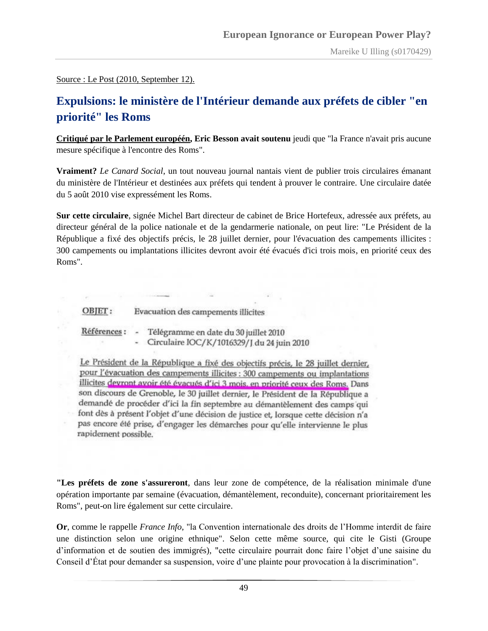Source : Le Post (2010, September 12).

## **Expulsions: le ministère de l'Intérieur demande aux préfets de cibler "en priorité" les Roms**

**[Critiqué par le Parlement européén,](http://www.lepost.fr/article/2010/09/10/2214597_les-eurodeputes-taclent-la-france-sur-les-roms-une-basse-operation-pour-besson.html) Eric Besson avait soutenu** jeudi que "la France n'avait pris aucune mesure spécifique à l'encontre des Roms".

**Vraiment?** *Le Canard Social*, un tout nouveau journal nantais vient de publier trois circulaires émanant du ministère de l'Intérieur et destinées aux préfets qui tendent à prouver le contraire. Une circulaire datée du 5 août 2010 vise expressément les Roms.

**Sur cette circulaire**, signée Michel Bart directeur de cabinet de Brice Hortefeux, adressée aux préfets, au directeur général de la police nationale et de la gendarmerie nationale, on peut lire: "Le Président de la République a fixé des objectifs précis, le 28 juillet dernier, pour l'évacuation des campements illicites : 300 campements ou implantations illicites devront avoir été évacués d'ici trois mois, en priorité ceux des Roms".

OBJET: Evacuation des campements illicites

Références: Télégramme en date du 30 juillet 2010 Circulaire IOC/K/1016329/J du 24 juin 2010

Le Président de la République a fixé des objectifs précis, le 28 juillet dernier, pour l'évacuation des campements illicites : 300 campements ou implantations illicites devront avoir été évacués d'ici 3 mois, en priorité ceux des Roms. Dans son discours de Grenoble, le 30 juillet dernier, le Président de la République a demandé de procéder d'ici la fin septembre au démantèlement des camps qui font dès à présent l'objet d'une décision de justice et, lorsque cette décision n'a pas encore été prise, d'engager les démarches pour qu'elle intervienne le plus rapidement possible.

**"Les préfets de zone s'assureront**, dans leur zone de compétence, de la réalisation minimale d'une opération importante par semaine (évacuation, démantèlement, reconduite), concernant prioritairement les Roms", peut-on lire également sur cette circulaire.

**Or**, comme le rappelle *France Info*, "la Convention internationale des droits de l"Homme interdit de faire une distinction selon une origine ethnique". Selon cette même source, qui cite le Gisti (Groupe d'information et de soutien des immigrés), "cette circulaire pourrait donc faire l'objet d'une saisine du Conseil d"État pour demander sa suspension, voire d"une plainte pour provocation à la discrimination".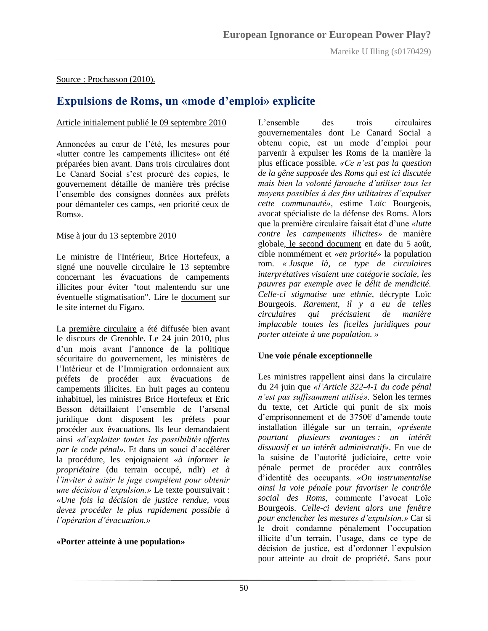#### Source : Prochasson (2010).

## **Expulsions de Roms, un «mode d'emploi» explicite**

#### Article initialement publié le 09 septembre 2010

Annoncées au cœur de l"été, les mesures pour «lutter contre les campements illicites» ont été préparées bien avant. Dans trois circulaires dont Le Canard Social s'est procuré des copies, le gouvernement détaille de manière très précise l"ensemble des consignes données aux préfets pour démanteler ces camps, «en priorité ceux de Roms».

#### Mise à jour du 13 septembre 2010

Le ministre de l'Intérieur, Brice Hortefeux, a signé une nouvelle circulaire le 13 septembre concernant les évacuations de campements illicites pour éviter "tout malentendu sur une éventuelle stigmatisation". Lire le [document](http://www.lefigaro.fr/assets/pdf/circulaire-hortefeux.pdf) sur le site internet du Figaro.

La [première circulaire](http://www.lecanardsocial.com/upload/IllustrationsLibres/Circulaire_du_24_juin_2010.pdf) a été diffusée bien avant le discours de Grenoble. Le 24 juin 2010, plus d"un mois avant l"annonce de la politique sécuritaire du gouvernement, les ministères de l"Intérieur et de l"Immigration ordonnaient aux préfets de procéder aux évacuations de campements illicites. En huit pages au contenu inhabituel, les ministres Brice Hortefeux et Eric Besson détaillaient l"ensemble de l"arsenal juridique dont disposent les préfets pour procéder aux évacuations. Ils leur demandaient ainsi *«d'exploiter toutes les possibilités offertes par le code pénal».* Et dans un souci d"accélérer la procédure, les enjoignaient *«à informer le propriétaire* (du terrain occupé, ndlr) *et à l'inviter à saisir le juge compétent pour obtenir une décision d'expulsion.»* Le texte poursuivait : *«Une fois la décision de justice rendue, vous devez procéder le plus rapidement possible à l'opération d'évacuation.»*

#### **«Porter atteinte à une population»**

L'ensemble des trois circulaires gouvernementales dont Le Canard Social a obtenu copie, est un mode d"emploi pour parvenir à expulser les Roms de la manière la plus efficace possible. *«Ce n'est pas la question de la gêne supposée des Roms qui est ici discutée mais bien la volonté farouche d'utiliser tous les moyens possibles à des fins utilitaires d'expulser cette communauté»,* estime Loïc Bourgeois, avocat spécialiste de la défense des Roms. Alors que la première circulaire faisait état d"une *«lutte contre les campements illicites»* de manière globale[,](http://www.lecanardsocial.com/upload/IllustrationsLibres/Circulaire_du_5ao%C3%BBt_2010.pdf) [le second document](http://www.lecanardsocial.com/upload/IllustrationsLibres/Circulaire_du_5ao%C3%BBt_2010.pdf) en date du 5 août, cible nommément et *«en priorité»* la population rom. *« Jusque là, ce type de circulaires interprétatives visaient une catégorie sociale, les pauvres par exemple avec le délit de mendicité. Celle-ci stigmatise une ethnie,* décrypte Loïc Bourgeois. *Rarement, il y a eu de telles circulaires qui précisaient de manière implacable toutes les ficelles juridiques pour porter atteinte à une population. »* 

#### **Une voie pénale exceptionnelle**

Les ministres rappellent ainsi dans la circulaire du 24 juin que *«l'Article 322-4-1 du code pénal n'est pas suffisamment utilisé».* Selon les termes du texte, cet Article qui punit de six mois d"emprisonnement et de 3750€ d"amende toute installation illégale sur un terrain, *«présente pourtant plusieurs avantages : un intérêt dissuasif et un intérêt administratif».* En vue de la saisine de l"autorité judiciaire, cette voie pénale permet de procéder aux contrôles d"identité des occupants. *«On instrumentalise ainsi la voie pénale pour favoriser le contrôle social des Roms,* commente l"avocat Loïc Bourgeois. *Celle-ci devient alors une fenêtre pour enclencher les mesures d'expulsion.»* Car si le droit condamne pénalement l"occupation illicite d"un terrain, l"usage, dans ce type de décision de justice, est d"ordonner l"expulsion pour atteinte au droit de propriété. Sans pour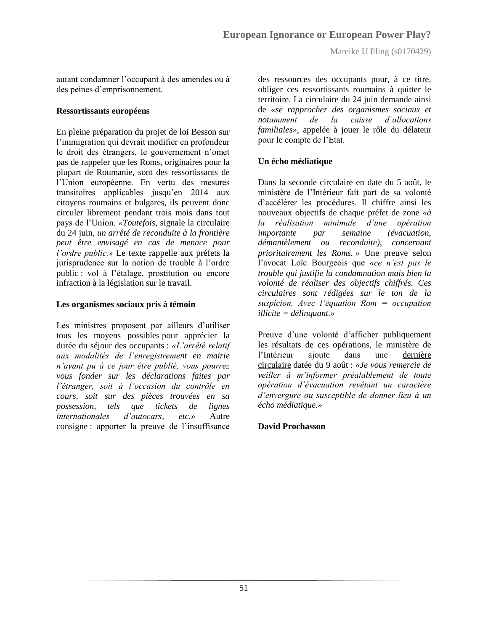autant condamner l"occupant à des amendes ou à des peines d"emprisonnement.

#### **Ressortissants européens**

En pleine préparation du projet de loi Besson sur l"immigration qui devrait modifier en profondeur le droit des étrangers, le gouvernement n"omet pas de rappeler que les Roms, originaires pour la plupart de Roumanie, sont des ressortissants de l"Union européenne. En vertu des mesures transitoires applicables jusqu'en 2014 aux citoyens roumains et bulgares, ils peuvent donc circuler librement pendant trois mois dans tout pays de l"Union. *«Toutefois,* signale la circulaire du 24 juin*, un arrêté de reconduite à la frontière peut être envisagé en cas de menace pour l'ordre public.»* Le texte rappelle aux préfets la jurisprudence sur la notion de trouble à l"ordre public : vol à l"étalage, prostitution ou encore infraction à la législation sur le travail.

#### **Les organismes sociaux pris à témoin**

Les ministres proposent par ailleurs d'utiliser tous les moyens possibles pour apprécier la durée du séjour des occupants : *«L'arrêté relatif aux modalités de l'enregistrement en mairie n'ayant pu à ce jour être publié, vous pourrez vous fonder sur les déclarations faites par l'étranger, soit à l'occasion du contrôle en cours, soit sur des pièces trouvées en sa possession, tels que tickets de lignes internationales d'autocars, etc.»* Autre consigne : apporter la preuve de l"insuffisance

des ressources des occupants pour, à ce titre, obliger ces ressortissants roumains à quitter le territoire. La circulaire du 24 juin demande ainsi de *«se rapprocher des organismes sociaux et notamment de la caisse d'allocations familiales»,* appelée à jouer le rôle du délateur pour le compte de l"Etat.

#### **Un écho médiatique**

Dans la seconde circulaire en date du 5 août, le ministère de l"Intérieur fait part de sa volonté d"accélérer les procédures. Il chiffre ainsi les nouveaux objectifs de chaque préfet de zone *«à la réalisation minimale d'une opération importante par semaine (évacuation, démantèlement ou reconduite), concernant prioritairement les Roms. »* Une preuve selon l"avocat Loïc Bourgeois que *«ce n'est pas le trouble qui justifie la condamnation mais bien la volonté de réaliser des objectifs chiffrés. Ces circulaires sont rédigées sur le ton de la suspicion. Avec l'équation Rom = occupation illicite = délinquant.»*

Preuve d"une volonté d"afficher publiquement les résultats de ces opérations, le ministère de l"Intérieur ajoute dans une [dernière](http://www.lecanardsocial.com/upload/IllustrationsLibres/Circulaire_du_9_ao%C3%BBt_2010.pdf)  [circulaire](http://www.lecanardsocial.com/upload/IllustrationsLibres/Circulaire_du_9_ao%C3%BBt_2010.pdf) datée du 9 août : *«Je vous remercie de veiller à m'informer préalablement de toute opération d'évacuation revêtant un caractère d'envergure ou susceptible de donner lieu à un écho médiatique.»*

#### **David Prochasson**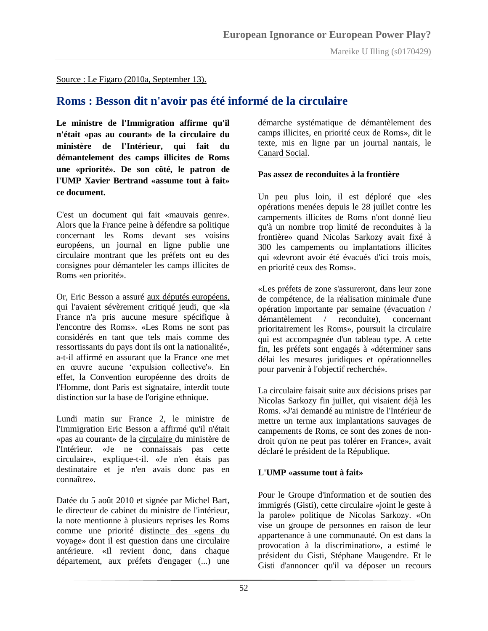Source : Le Figaro (2010a, September 13).

## **Roms : Besson dit n'avoir pas été informé de la circulaire**

**Le ministre de l'Immigration affirme qu'il n'était «pas au courant» de la circulaire du ministère de l'Intérieur, qui fait du démantelement des camps illicites de Roms une «priorité». De son côté, le patron de l'UMP Xavier Bertrand «assume tout à fait» ce document.**

C'est un document qui fait «mauvais genre». Alors que la France peine à défendre sa politique concernant les Roms devant ses voisins européens, un journal en ligne publie une circulaire montrant que les préfets ont eu des consignes pour démanteler les camps illicites de Roms «en priorité».

Or, Eric Besson a assuré [aux députés européens,](http://www.lefigaro.fr/actualite-france/2010/09/09/01016-20100909ARTFIG00591-le-parlement-europeen-exige-l-arret-des-expulsions-de-roms.php)  [qui l'avaient sévèrement critiqué jeudi,](http://www.lefigaro.fr/actualite-france/2010/09/09/01016-20100909ARTFIG00591-le-parlement-europeen-exige-l-arret-des-expulsions-de-roms.php) que «la France n'a pris aucune mesure spécifique à l'encontre des Roms». «Les Roms ne sont pas considérés en tant que tels mais comme des ressortissants du pays dont ils ont la nationalité», a-t-il affirmé en assurant que la France «ne met en œuvre aucune "expulsion collective'». En effet, la Convention européenne des droits de l'Homme, dont Paris est signataire, interdit toute distinction sur la base de l'origine ethnique.

Lundi matin sur France 2, le ministre de l'Immigration Eric Besson a affirmé qu'il n'était «pas au courant» de la [circulaire d](http://www.lecanardsocial.com/upload/IllustrationsLibres/Circulaire_du_5ao%C3%BBt_2010.pdf)u ministère de l'Intérieur. «Je ne connaissais pas cette circulaire», explique-t-il. «Je n'en étais pas destinataire et je n'en avais donc pas en connaître».

Datée du 5 août 2010 et signée par Michel Bart, le directeur de cabinet du ministre de l'intérieur, la note mentionne à plusieurs reprises les Roms comme une priorité [distincte des «gens du](http://www.lefigaro.fr/actualite-france/2010/07/21/01016-20100721ARTFIG00512-gens-du-voyage-roms-une-realite-meconnue.php)  [voyage»](http://www.lefigaro.fr/actualite-france/2010/07/21/01016-20100721ARTFIG00512-gens-du-voyage-roms-une-realite-meconnue.php) dont il est question dans une circulaire antérieure. «Il revient donc, dans chaque département, aux préfets d'engager (...) une

démarche systématique de démantèlement des camps illicites, en priorité ceux de Roms», dit le texte, mis en ligne par un journal nantais, le [Canard Social.](http://www.lecanardsocial.com/Article.aspx?i=193)

#### **Pas assez de reconduites à la frontière**

Un peu plus loin, il est déploré que «les opérations menées depuis le 28 juillet contre les campements illicites de Roms n'ont donné lieu qu'à un nombre trop limité de reconduites à la frontière» quand Nicolas Sarkozy avait fixé à 300 les campements ou implantations illicites qui «devront avoir été évacués d'ici trois mois, en priorité ceux des Roms».

«Les préfets de zone s'assureront, dans leur zone de compétence, de la réalisation minimale d'une opération importante par semaine (évacuation / démantèlement / reconduite), concernant prioritairement les Roms», poursuit la circulaire qui est accompagnée d'un tableau type. A cette fin, les préfets sont engagés à «déterminer sans délai les mesures juridiques et opérationnelles pour parvenir à l'objectif recherché».

La circulaire faisait suite aux décisions prises par Nicolas Sarkozy fin juillet, qui visaient déjà les Roms. «J'ai demandé au ministre de l'Intérieur de mettre un terme aux implantations sauvages de campements de Roms, ce sont des zones de nondroit qu'on ne peut pas tolérer en France», avait déclaré le président de la République.

#### **L'UMP «assume tout à fait»**

Pour le Groupe d'information et de soutien des immigrés (Gisti), cette circulaire «joint le geste à la parole» politique de Nicolas Sarkozy. «On vise un groupe de personnes en raison de leur appartenance à une communauté. On est dans la provocation à la discrimination», a estimé le président du Gisti, Stéphane Maugendre. Et le Gisti d'annoncer qu'il va déposer un recours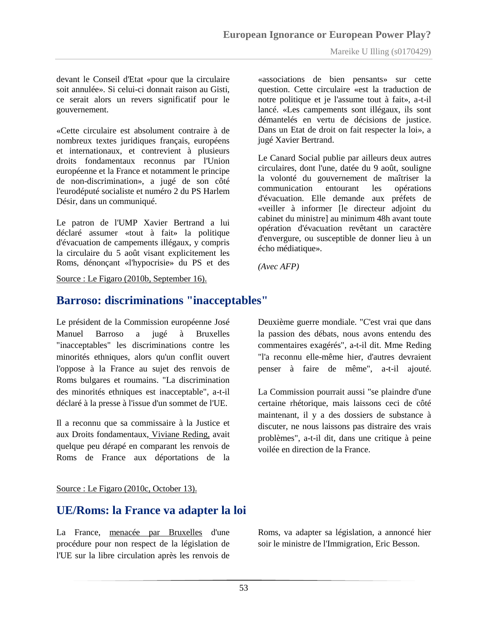devant le Conseil d'Etat «pour que la circulaire soit annulée». Si celui-ci donnait raison au Gisti, ce serait alors un revers significatif pour le gouvernement.

«Cette circulaire est absolument contraire à de nombreux textes juridiques français, européens et internationaux, et contrevient à plusieurs droits fondamentaux reconnus par l'Union européenne et la France et notamment le principe de non-discrimination», a jugé de son côté l'eurodéputé socialiste et numéro 2 du PS Harlem Désir, dans un communiqué.

Le patron de l'UMP Xavier Bertrand a lui déclaré assumer «tout à fait» la politique d'évacuation de campements illégaux, y compris la circulaire du 5 août visant explicitement les Roms, dénonçant «l'hypocrisie» du PS et des

«associations de bien pensants» sur cette question. Cette circulaire «est la traduction de notre politique et je l'assume tout à fait», a-t-il lancé. «Les campements sont illégaux, ils sont démantelés en vertu de décisions de justice. Dans un Etat de droit on fait respecter la loi», a jugé Xavier Bertrand.

Le Canard Social publie par ailleurs deux autres circulaires, dont l'une, datée du 9 août, souligne la volonté du gouvernement de maîtriser la communication entourant les opérations d'évacuation. Elle demande aux préfets de «veiller à informer [le directeur adjoint du cabinet du ministre] au minimum 48h avant toute opération d'évacuation revêtant un caractère d'envergure, ou susceptible de donner lieu à un écho médiatique».

*(Avec AFP)*

#### Source : Le Figaro (2010b, September 16).

## **Barroso: discriminations "inacceptables"**

Le président de la Commission européenne José Manuel Barroso a jugé à Bruxelles "inacceptables" les discriminations contre les minorités ethniques, alors qu'un conflit ouvert l'oppose à la France au sujet des renvois de Roms bulgares et roumains. "La discrimination des minorités ethniques est inacceptable", a-t-il déclaré à la presse à l'issue d'un sommet de l'UE.

Il a reconnu que sa commissaire à la Justice et aux Droits fondamentaux, [Viviane Reding,](http://www.lefigaro.fr/international/2010/09/15/01003-20100915ARTFIG00701-viviane-reding-la-dame-en-rouge-qui-defie-la-france.php) avait quelque peu dérapé en comparant les renvois de Roms de France aux déportations de la

Deuxième guerre mondiale. "C'est vrai que dans la passion des débats, nous avons entendu des commentaires exagérés", a-t-il dit. Mme Reding "l'a reconnu elle-même hier, d'autres devraient penser à faire de même", a-t-il ajouté.

La Commission pourrait aussi "se plaindre d'une certaine rhétorique, mais laissons ceci de côté maintenant, il y a des dossiers de substance à discuter, ne nous laissons pas distraire des vrais problèmes", a-t-il dit, dans une critique à peine voilée en direction de la France.

#### Source : Le Figaro (2010c, October 13).

## **UE/Roms: la France va adapter la loi**

La France, [menacée par Bruxelles](http://www.lefigaro.fr/actualite-france/2010/09/29/01016-20100929ARTFIG00535-roms-bruxelle-menace-paris-d-une-procedure-d-infraction.php) d'une procédure pour non respect de la législation de l'UE sur la libre circulation après les renvois de Roms, va adapter sa législation, a annoncé hier soir le ministre de l'Immigration, Eric Besson.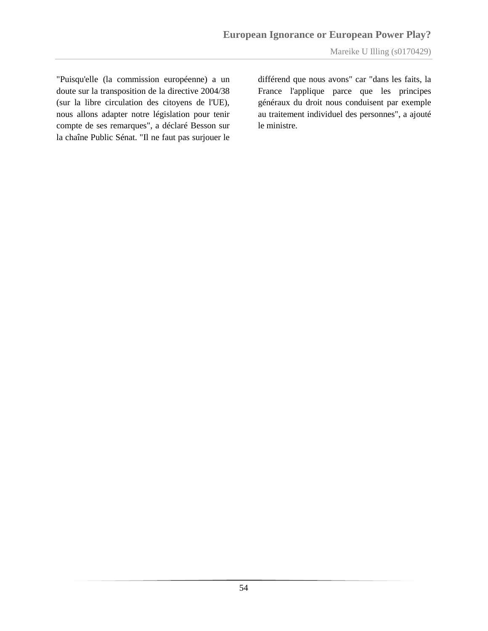"Puisqu'elle (la commission européenne) a un doute sur la transposition de la directive 2004/38 (sur la libre circulation des citoyens de l'UE), nous allons adapter notre législation pour tenir compte de ses remarques", a déclaré Besson sur la chaîne Public Sénat. "Il ne faut pas surjouer le

différend que nous avons" car "dans les faits, la France l'applique parce que les principes généraux du droit nous conduisent par exemple au traitement individuel des personnes", a ajouté le ministre.